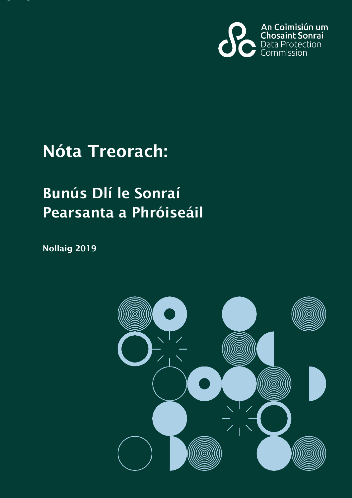

# Nóta Treorach:

# Bunús Dlí le Sonraí Pearsanta a Phróiseáil

Nollaig 2019

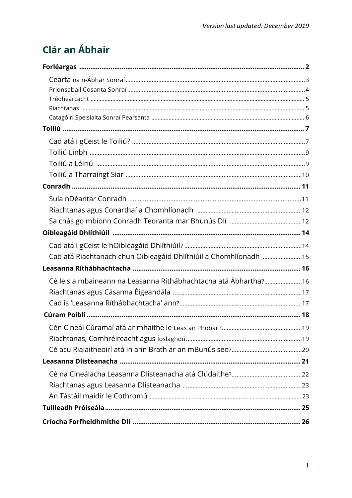# Clár an Ábhair

| Cad atá Riachtanach chun Oibleagáid Dhlíthiúil a Chomhlíonadh 15 |     |
|------------------------------------------------------------------|-----|
|                                                                  |     |
| Cé leis a mbaineann na Leasanna Ríthábhachtacha atá Ábhartha?16  |     |
|                                                                  |     |
|                                                                  |     |
|                                                                  |     |
|                                                                  |     |
|                                                                  |     |
|                                                                  |     |
|                                                                  |     |
|                                                                  |     |
|                                                                  |     |
|                                                                  |     |
|                                                                  |     |
|                                                                  |     |
|                                                                  | .26 |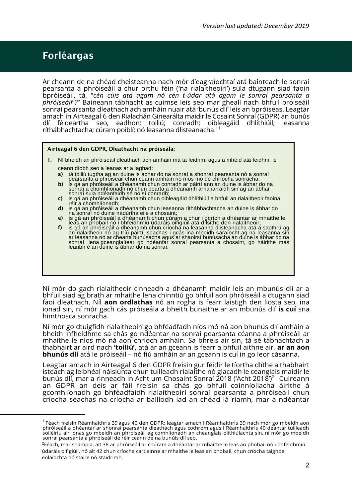# Forléargas

Ar cheann de na chéad cheisteanna nach mór d'eagraíochtaí atá bainteach le sonraí pearsanta a phróiseáil a chur orthu féin ('na rialaitheoirí') sula dtugann siad faoin bpróiseáil, tá, "*cén cúis atá agam nó cén t-údar atá agam le sonraí pearsanta a phróiseáil*"*?*" Baineann tábhacht as cuimse leis seo mar gheall nach bhfuil próiseáil sonraí pearsanta dleathach ach amháin nuair atá 'bunús dlí' leis an bpróiseas. Leagtar amach in Airteagal 6 den Rialachán Ginearálta maidir le Cosaint Sonraí (GDPR) an bunús<br>dlí féideartha seo, eadhon: toiliú; conradh; oibleagáid dhlíthiúil, leasanna oibleagáid dhlíthiúil, leasanna ríthábhachtacha; cúram poiblí; nó leasanna dlisteanacha. 11

#### Airteagal 6 den GDPR, Dleathacht na próiseála;

- 1. Ní bheidh an phróiseáil dleathach ach amháin má tá feidhm, agus a mhéid atá feidhm, le ceann díobh seo a leanas ar a laghad:
	- a) tá toiliú tugtha ag an duine is ábhar do na sonraí a shonraí pearsanta nó a sonraí pearsanta a phróiseáil chun ceann amháin nó níos mó de chríocha sonracha;
	- b) is gá an phróiseáil a dhéanamh chun conradh ar páirtí ann an duine is ábhar do na sonraí a chomhlíonadh nó chun bearta a dhéanamh arna iarraidh sin ag an ábhar sonraí sula ndéanfaidh sé nó sí conradh;
	- c) is gá an phróiseáil a dhéanamh chun oibleagáid dhlíthiúil a bhfuil an rialaitheoir faoina réir a chomhlíonadh;
	- d) is gá an phróiseáil a dhéanamh chun leasanna ríthábhachtacha an duine is ábhar do na sonraí nó duine nádúrtha eile a chosaint;
	- e) is gá an phróiseáil a dhéanamh chun cúram a chur i gcrích a dhéantar ar mhaithe le leas an phobail nó i bhfeidhmiú údaráis oifigiúil atá dílsithe don rialaitheoir;
	- f) is gá an phróiseáil a dhéanamh chun críocha na leasanna dlisteanacha atá á saothrú ag an rialaitheoir nó ag tríú páirtí, seachas i gcás ina mbeidh sáraíocht ag na leasanna sin ar leasanna nó ar chearta bunúsacha agus ar shaoirsí bunúsacha an duine is ábhar do na sonraí, lena gceanglaítear go ndéanfar sonraí pearsanta a chosaint, go háirithe más leanbh é an duine is ábhar do na sonraí.

Ní mór do gach rialaitheoir cinneadh a dhéanamh maidir leis an mbunús dlí ar a bhfuil siad ag brath ar mhaithe lena chinntiú go bhfuil aon phróiseáil a dtugann siad faoi dleathach. Níl **aon ordlathas** nó an rogha is fearr laistigh den liosta seo, ina ionad sin, ní mór gach cás próiseála a bheith bunaithe ar an mbunús dlí **is cuí** sna himthosca sonracha.

Ní mór go dtuigfidh rialaitheoirí go bhféadfadh níos mó ná aon bhunús dlí amháin a bheith infheidhme sa chás go ndéantar na sonraí pearsanta céanna a phróiseáil ar mhaithe le níos mó ná aon chríoch amháin. Sa bhreis air sin, tá sé tábhachtach a thabhairt ar aird nach **'toiliú'**, atá ar an gceann is fearr a bhfuil aithne air, **ar an aon bhunús dlí** atá le próiseáil – nó fiú amháin ar an gceann is cuí in go leor cásanna.

Leagtar amach in Airteagal 6 den GDPR freisin gur féidir le tíortha dlíthe a thabhairt isteach ag leibhéal náisiúnta chun tuilleadh rialaithe nó glacadh le ceanglais maidir le bunús dlí, mar a rinneadh in Acht um Chosaint Sonraí 2018 ('Acht 2018')<sup>2.</sup> Cuireann an GDPR an deis ar fáil freisin sa chás go bhfuil coinníollacha áirithe á gcomhlíonadh go bhféadfaidh rialaitheoirí sonraí pearsanta a phróiseáil chun críocha seachas na críocha ar bailíodh iad an chéad lá riamh, mar a ndéantar

<sup>&</sup>lt;sup>1</sup> Féach freisin Réamhaithris 39 agus 40 den GDPR; leagtar amach i Réamhaithris 39 nach mór go mbeidh aon phróiseáil a dhéantar ar shonraí pearsanta dleathach agus cothrom agus i Réamhaithris 40 déantar tuilleadh soiléiriú air ionas go mbeidh an phróiseáil ag comhlíonadh an cheanglais dlíthiúlachta sin, ní mór go mbeidh sonraí pearsanta a phróiseáil de réir ceann de na bunúis dlí seo.

 ${}^{2}$ Féach, mar shampla, alt 38 ar phróiseáil ar chúram a dhéantar ar mhaithe le leas an phobail nó i bhfeidhmiú údaráis oifigiúil, nó alt 42 chun críocha cartlainne ar mhaithe le leas an phobail, chun críocha taighde eolaíochta nó staire nó staidrimh.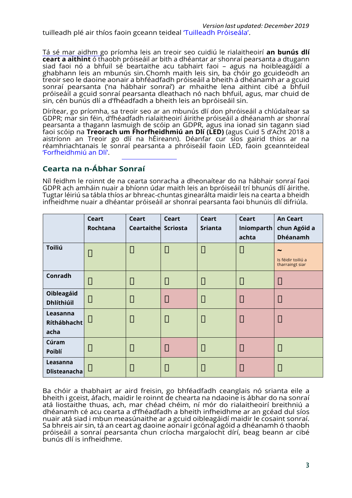*Version last updated: December 2019* tuilleadh plé air thíos faoin gceann teideal 'Tuilleadh Próiseála'.

Tá sé mar aidhm go príomha leis an treoir seo cuidiú le rialaitheoirí **an bunús dlí ceart a aithint** ó thaobh próiseáil ar bith a dhéantar ar shonraí pearsanta a dtugann siad faoi nó a bhfuil sé beartaithe acu tabhairt faoi – agus na hoibleagáidí a ghabhann leis an mbunús sin.Chomh maith leis sin, ba chóir go gcuideodh an treoir seo le daoine aonair a bhféadfadh próiseáil a bheith á dhéanamh ar a gcuid sonraí pearsanta ('na hábhair sonraí') ar mhaithe lena aithint cibé a bhfuil próiseáil a gcuid sonraí pearsanta dleathach nó nach bhfuil, agus, mar chuid de sin, cén bunús dlí a d'fhéadfadh a bheith leis an bpróiseáil sin.

Dírítear, go príomha, sa treoir seo ar an mbunús dlí don phróiseáil a chlúdaítear sa GDPR; mar sin féin, d'fhéadfadh rialaitheoirí áirithe próiseáil a dhéanamh ar shonraí pearsanta a thagann lasmuigh de scóip an GDPR, agus ina ionad sin tagann siad faoi scóip na **Treorach um Fhorfheidhmiú an Dlí (LED)** (agus Cuid 5 d'Acht 2018 a aistríonn an Treoir go dlí na hÉireann). Déanfar cur síos gairid thíos ar na réamhriachtanais le sonraí pearsanta a phróiseáil faoin LED, faoin gceannteideal 'Forfheidhmiú an Dlí'.

# **Cearta na n-Ábhar Sonraí**

Níl feidhm le roinnt de na cearta sonracha a dheonaítear do na hábhair sonraí faoi GDPR ach amháin nuair a bhíonn údar maith leis an bpróiseáil trí bhunús dlí áirithe. Tugtar léiriú sa tábla thíos ar bhreac-chuntas ginearálta maidir leis na cearta a bheidh infheidhme nuair a dhéantar próiseáil ar shonraí pearsanta faoi bhunúis dlí difriúla.

|                                 | <b>Ceart</b><br>Rochtana | <b>Ceart</b><br>Ceartaithe | <b>Ceart</b><br><b>Scriosta</b> | <b>Ceart</b><br><b>Srianta</b> | <b>Ceart</b><br>Iniomparth<br>achta | <b>An Ceart</b><br>chun Agóid a<br><b>Dhéanamh</b>  |
|---------------------------------|--------------------------|----------------------------|---------------------------------|--------------------------------|-------------------------------------|-----------------------------------------------------|
| <b>Toiliú</b>                   | $\Box$                   | Ω                          | $\Box$                          | Ω                              | $\Box$                              | $\tilde{}$<br>Is féidir toiliú a<br>tharraingt siar |
| Conradh                         | $\Box$                   | Ω                          | Π                               | Π                              | $\Box$                              | $\Box$                                              |
| Oibleagáid<br><b>Dhlíthiúil</b> | $\Box$                   | Ω                          | $\Box$                          | □                              | $\Box$                              | ◨                                                   |
| Leasanna<br>Ríthábhacht<br>acha | $\Box$                   | Ω                          | Π                               | Π                              | $\Box$                              | П                                                   |
| Cúram<br>Poiblí                 | Π                        | Ω                          | ◨                               | Ω                              | $\Box$                              | $\Box$                                              |
| Leasanna<br><b>Dlisteanacha</b> | $\Box$                   | Ω                          | $\Box$                          | Π                              | П                                   | П                                                   |

Ba chóir a thabhairt ar aird freisin, go bhféadfadh ceanglais nó srianta eile a bheith i gceist, áfach, maidir le roinnt de chearta na ndaoine is ábhar do na sonraí atá liostaithe thuas, ach, mar chéad chéim, ní mór do rialaitheoirí breithniú a dhéanamh cé acu cearta a d'fhéadfadh a bheith infheidhme ar an gcéad dul síos nuair atá siad i mbun measúnaithe ar a gcuid oibleagáidí maidir le cosaint sonraí. Sa bhreis air sin, tá an ceart ag daoine aonair i gcónaí agóid a dhéanamh ó thaobh próiseáil a sonraí pearsanta chun críocha margaíocht dírí, beag beann ar cibé bunús dlí is infheidhme.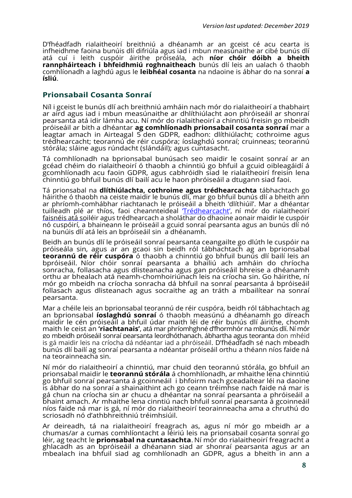D'fhéadfadh rialaitheoirí breithniú a dhéanamh ar an gceist cé acu cearta is infheidhme faoina bunúis dlí difriúla agus iad i mbun measúnaithe ar cibé bunús dlí atá cuí i leith cuspóir áirithe próiseála, ach **níor chóir dóibh a bheith rannpháirteach i bhfeidhmiú roghnaitheach** bunús dlí leis an ualach ó thaobh comhlíonadh a laghdú agus le **leibhéal cosanta** na ndaoine is ábhar do na sonraí **a ísliú**.

## **Prionsabail Cosanta Sonraí**

Níl i gceist le bunús dlí ach breithniú amháin nach mór do rialaitheoirí a thabhairt ar aird agus iad i mbun measúnaithe ar dhlíthiúlacht aon phróiseáil ar shonraí pearsanta atá idir lámha acu. Ní mór do rialaitheoirí a chinntiú freisin go mbeidh próiseáil ar bith a dhéantar **ag comhlíonadh prionsabail cosanta sonraí** mar a leagtar amach in Airteagal 5 den GDPR, eadhon: dlíthiúlacht; cothroime agus trédhearcacht; teorannú de réir cuspóra; íoslaghdú sonraí; cruinneas; teorannú stórála; sláine agus rúndacht (slándáil); agus cuntasacht.

Tá comhlíonadh na bprionsabal bunúsach seo maidir le cosaint sonraí ar an gcéad chéim do rialaitheoirí ó thaobh a chinntiú go bhfuil a gcuid oibleagáidí á gcomhlíonadh acu faoin GDPR, agus cabhróidh siad le rialaitheoirí freisin lena chinntiú go bhfuil bunús dlí bailí acu le haon phróiseáil a dtugann siad faoi.

Tá prionsabal na **dlíthiúlachta, cothroime agus trédhearcachta** tábhachtach go háirithe ó thaobh na ceiste maidir le bunús dlí, mar go bhfuil bunús dlí a bheith ann ar phríomh-comhábhar riachtanach le próiseáil a bheith 'dlíthiúil'. Mar a dhéantar tuilleadh plé ar thíos, faoi cheannteideal Trédhearcacht', ní mór do rialaitheoirí faisnéis atá soiléir agus trédhearcach a sholáthar do dhaoine aonair maidir le cuspóir nó cuspóirí, a bhaineann le próiseáil a gcuid sonraí pearsanta agus an bunús dlí nó na bunúis dlí atá leis an bpróiseáil sin a dhéanamh.

Beidh an bunús dlí le próiseáil sonraí pearsanta ceangailte go dlúth le cuspóir na próiseála sin, agus ar an gcaoi sin beidh ról tábhachtach ag an bprionsabal **teorannú de réir cuspóra** ó thaobh a chinntiú go bhfuil bunús dlí bailí leis an bpróiseáil. Níor chóir sonraí pearsanta a bhailiú ach amháin do chríocha sonracha, follasacha agus dlisteanacha agus gan próiseáil bhreise a dhéanamh orthu ar bhealach atá neamh-chomhoiriúnach leis na críocha sin. Go háirithe, ní mór go mbeidh na críocha sonracha dá bhfuil na sonraí pearsanta á bpróiseáil follasach agus dlisteanach agus socraithe ag an tráth a mbailítear na sonraí pearsanta.

Mar a chéile leis an bprionsabal teorannú de réir cuspóra, beidh ról tábhachtach ag an bprionsabal **íoslaghdú sonraí** ó thaobh measúnú a dhéanamh go díreach maidir le cén próiseáil a bhfuil údar maith léi de réir bunús dlí áirithe, chomh maith le ceist an **'riachtanais'**, atá mar phríomhghné d'fhormhór na mbunús dlí. Ní mór go mbeidh próiseáil sonraí pearsanta leordhóthanach, ábhartha agus teoranta don mhéid is gá maidir leis na críocha dá ndéantar iad a phróiseáil. D'fhéadfadh sé nach mbeadh bunús dlí bailí ag sonraí pearsanta a ndéantar próiseáil orthu a théann níos faide ná na teorainneacha sin.

Ní mór do rialaitheoirí a chinntiú, mar chuid den teorannú stórála, go bhfuil an prionsabal maidir le **teorannú stórála** á chomhlíonadh, ar mhaithe lena chinntiú go bhfuil sonraí pearsanta á gcoinneáil i bhfoirm nach gceadaítear léi na daoine is ábhar do na sonraí a shainaithint ach go ceann tréimhse nach faide ná mar is gá chun na críocha sin ar chucu a dhéantar na sonraí pearsanta a phróiseáil a bhaint amach. Ar mhaithe lena cinntiú nach bhfuil sonraí pearsanta á gcoinneáil níos faide ná mar is gá, ní mór do rialaitheoirí teorainneacha ama a chruthú do scriosadh nó d'athbhreithniú tréimhsiúil.

Ar deireadh, tá na rialaitheoirí freagrach as, agus ní mór go mbeidh ar a chumas/ar a cumas comhlíontacht a léiriú leis na prionsabail cosanta sonraí go léir, ag teacht le **prionsabal na cuntasachta**. Ní mór do rialaitheoirí freagracht a ghlacadh as an bpróiseáil a dhéanann siad ar shonraí pearsanta agus ar an mbealach ina bhfuil siad ag comhlíonadh an GDPR, agus a bheith in ann a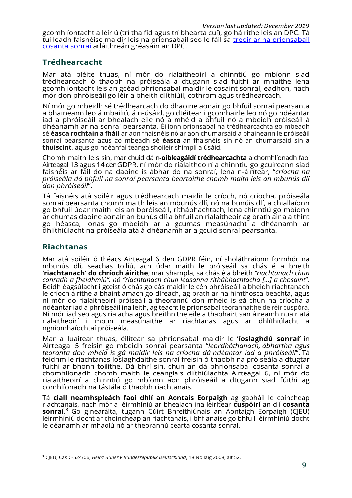gcomhlíontacht a léiriú (trí thaifid agus trí bhearta cuí), go háirithe leis an DPC. Tá tuilleadh faisnéise maidir leis na prionsabail seo le fáil sa treoir ar na prionsabail cosanta sonraí ar láithreán gréasáin an DPC.

# **Trédhearcacht**

Mar atá pléite thuas, ní mór do rialaitheoirí a chinntiú go mbíonn siad trédhearcach ó thaobh na próiseála a dtugann siad fúithi ar mhaithe lena gcomhlíontacht leis an gcéad phrionsabal maidir le cosaint sonraí, eadhon, nach mór don phróiseáil go léir a bheith dlíthiúil, cothrom agus trédhearcach.

Ní mór go mbeidh sé trédhearcach do dhaoine aonair go bhfuil sonraí pearsanta a bhaineann leo á mbailiú, á n-úsáid, go dtéitear i gcomhairle leo nó go ndéantar iad a phróiseáil ar bhealach eile nó a mhéid a bhfuil nó a mbeidh próiseáil á dhéanamh ar na sonraí pearsanta. Éilíonn prionsabal na trédhearcachta go mbeadh sé **éasca rochtain a fháil** ar aon fhaisnéis nó ar aon chumarsáid a bhaineann le próiseáil sonraí pearsanta agus go mbeadh sé **éasca** an fhaisnéis sin nó an chumarsáid sin **a thuiscint**, agus go ndéanfaí teanga shoiléir shimplí a úsáid.

Chomh maith leis sin, mar chuid dá n**-oibleagáidí trédhearcachta** a chomhlíonadh faoi Airteagal 13 agus 14 den GDPR, ní mór do rialaitheoirí a chinntiú go gcuireann siad faisnéis ar fáil do na daoine is ábhar do na sonraí, lena n-áirítear, "*críocha na próiseála dá bhfuil na sonraí pearsanta beartaithe chomh maith leis an mbunús dlí don phróiseáil*".

Tá faisnéis atá soiléir agus trédhearcach maidir le críoch, nó críocha, próiseála sonraí pearsanta chomh maith leis an mbunús dlí, nó na bunúis dlí, a chiallaíonn go bhfuil údar maith leis an bpróiseáil, ríthábhachtach, lena chinntiú go mbíonn ar chumas daoine aonair an bunús dlí a bhfuil an rialaitheoir ag brath air a aithint go héasca, ionas go mbeidh ar a gcumas measúnacht a dhéanamh ar dhlíthiúlacht na próiseála atá á dhéanamh ar a gcuid sonraí pearsanta.

# **Riachtanas**

 $\overline{a}$ 

Mar atá soiléir ó théacs Airteagal 6 den GDPR féin, ní sholáthraíonn formhór na mbunús dlí, seachas toiliú, ach údar maith le próiseáil sa chás é a bheith **'riachtanach' do chríoch áirithe**; mar shampla, sa chás é a bheith *"riachtanach chun conradh a fheidhmiú", nó "riachtanach chun leasanna ríthábhachtacha […] a chosaint*". Beidh éagsúlacht i gceist ó chás go cás maidir le cén phróiseáil a bheidh riachtanach le críoch áirithe a bhaint amach go díreach, ag brath ar na himthosca beachta, agus ní mór do rialaitheoirí próiseáil a theorannú don mhéid is gá chun na críocha a ndéantar iad a phróiseáil ina leith, ag teacht le prionsabal teorannaithe de réir cuspóra. Ní mór iad seo agus rialacha agus breithnithe eile a thabhairt san áireamh nuair atá rialaitheoirí i mbun measúnaithe ar riachtanas agus ar dhlíthiúlacht a ngníomhaíochtaí próiseála.

Mar a luaitear thuas, éilítear sa phrionsabal maidir le **'íoslaghdú sonraí'** in Airteagal 5 freisin go mbeidh sonraí pearsanta "*leordhóthanach, ábhartha agus teoranta don mhéid is gá maidir leis na críocha dá ndéantar iad a phróiseáil*". Tá feidhm le riachtanas íoslaghdaithe sonraí freisin ó thaobh na próiseála a dtugtar fúithi ar bhonn toilithe. Dá bhrí sin, chun an dá phrionsabal cosanta sonraí a chomhlíonadh chomh maith le ceanglais dlíthiúlachta Airteagal 6, ní mór do rialaitheoirí a chinntiú go mbíonn aon phróiseáil a dtugann siad fúithi ag comhlíonadh na tástála ó thaobh riachtanais.

Tá **ciall neamhspleách faoi dhlí an Aontais Eorpaigh** ag gabháil le coincheap riachtanais, nach mór a léirmhíniú ar bhealach ina léirítear **cuspóirí** an dlí **cosanta sonraí**. <sup>3</sup> Go ginearálta, tugann Cúirt Bhreithiúnais an Aontaigh Eorpaigh (CJEU) léirmhíniú docht ar choincheap an riachtanais, i bhfianaise go bhfuil léirmhíniú docht le déanamh ar mhaolú nó ar theorannú cearta cosanta sonraí.

<sup>3</sup> CJEU, Cás C‑524/06, *Heinz Huber v Bundesrepublik Deutschland*, 18 Nollaig 2008, alt 52.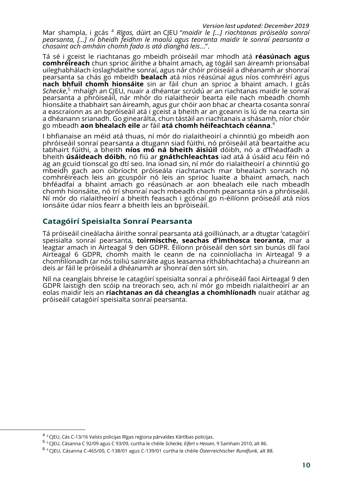Mar shampla, i gcás <sup>4</sup> *Rīgas,* dúirt an CJEU "*maidir le […] riachtanas próiseála sonraí pearsanta, […] ní bheidh feidhm le maolú agus teoranta maidir le sonraí pearsanta a chosaint ach amháin chomh fada is atá dianghá leis*...".

Tá sé i gceist le riachtanas go mbeidh próiseáil mar mhodh atá **réasúnach agus comhréireach** chun sprioc áirithe a bhaint amach, ag tógáil san áireamh prionsabal uileghabhálach íoslaghdaithe sonraí, agus nár chóir próiseáil a dhéanamh ar shonraí pearsanta sa chás go mbeidh **bealach** atá níos réasúnaí agus níos comhréirí agus **nach bhfuil chomh hionsáite** sin ar fáil chun an sprioc a bhaint amach. I gcás *Schecke*, <sup>5</sup> mhaígh an CJEU, nuair a dhéantar scrúdú ar an riachtanas maidir le sonraí pearsanta a phróiseáil, nár mhór do rialaitheoir bearta eile nach mbeadh chomh hionsáite a thabhairt san áireamh, agus gur chóir aon bhac ar chearta cosanta sonraí a eascraíonn as an bpróiseáil atá i gceist a bheith ar an gceann is lú de na cearta sin a dhéanann srianadh. Go ginearálta, chun tástáil an riachtanais a shásamh, níor chóir go mbeadh **aon bhealach eile** ar fáil **atá chomh héifeachtach céanna**. 6

I bhfianaise an méid atá thuas, ní mór do rialaitheoirí a chinntiú go mbeidh aon phróiseáil sonraí pearsanta a dtugann siad fúithi, nó próiseáil atá beartaithe acu tabhairt fúithi, a bheith **níos mó ná bheith áisiúil** dóibh, nó a d'fhéadfadh a bheith **úsáideach dóibh**, nó fiú ar **gnáthchleachtas** iad atá á úsáid acu féin nó ag an gcuid tionscal go dtí seo. Ina ionad sin, ní mór do rialaitheoirí a chinntiú go mbeidh gach aon oibríocht próiseála riachtanach mar bhealach sonrach nó comhréireach leis an gcuspóir nó leis an sprioc luaite a bhaint amach, nach bhféadfaí a bhaint amach go réasúnach ar aon bhealach eile nach mbeadh chomh hionsáite, nó trí shonraí nach mbeadh chomh pearsanta sin a phróiseáil. Ní mór do rialaitheoirí a bheith feasach i gcónaí go n-éilíonn próiseáil atá níos ionsáite údar níos fearr a bheith leis an bpróiseáil.

## **Catagóirí Speisialta Sonraí Pearsanta**

Tá próiseáil cineálacha áirithe sonraí pearsanta atá goilliúnach, ar a dtugtar 'catagóirí speisialta sonraí pearsanta, **toirmiscthe, seachas d'imthosca teoranta**, mar a leagtar amach in Airteagal 9 den GDPR. Éilíonn próiseáil den sórt sin bunús dlí faoi Airteagal 6 GDPR, chomh maith le ceann de na coinníollacha in Airteagal 9 a chomhlíonadh (ar nós toiliú sainráite agus leasanna ríthábhachtacha) a chuireann an deis ar fáil le próiseáil a dhéanamh ar shonraí den sórt sin.

Níl na ceanglais bhreise le catagóirí speisialta sonraí a phróiseáil faoi Airteagal 9 den GDPR laistigh den scóip na treorach seo, ach ní mór go mbeidh rialaitheoirí ar an eolas maidir leis an **riachtanas an dá cheanglas a chomhlíonadh** nuair atáthar ag próiseáil catagóirí speisialta sonraí pearsanta.

<sup>4</sup> <sup>4</sup>CJEU, Cás C-13/16 Valsts policijas Rīgas reģiona pārvaldes Kārtības policijas.

<sup>5</sup> <sup>5</sup>CJEU, Cásanna C 92/09 agus C 93/09, curtha le chéile *Schecke, Eifert v Hessen*, 9 Samhain 2010, alt 86.

<sup>6</sup> <sup>6</sup>CJEU, Cásanna C-465/00, C-138/01 agus C-139/01 curtha le chéile *Österreichischer Rundfunk*, alt 88.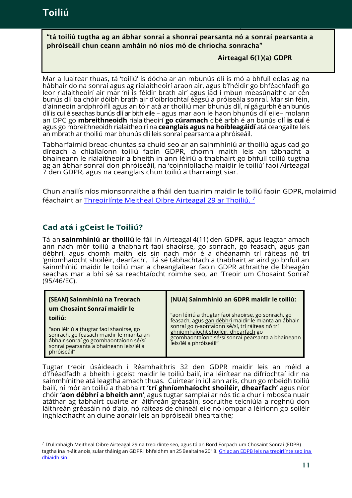"tá toiliú tugtha ag an ábhar sonraí a shonraí pearsanta nó a sonraí pearsanta a phróiseáil chun ceann amháin nó níos mó de chríocha sonracha"

## Airteagal 6(1)(a) GDPR

*Version last updated: December 2019*

Mar a luaitear thuas, tá 'toiliú' is dócha ar an mbunús dlí is mó a bhfuil eolas ag na hábhair do na sonraí agus ag rialaitheoirí araon air, agus b'fhéidir go bhféachfadh go leor rialaitheoirí air mar 'ní is féidir brath air' agus iad i mbun measúnaithe ar cén bunús dlí ba chóir dóibh brath air d'oibríochtaí éagsúla próiseála sonraí. Mar sin féin, d'ainneoin ardphróifíl agus an tóir atá ar thoiliú mar bhunús dlí, ní gá gurbh é an bunús dlí is cuí é seachas bunús dlí ar bith eile – agus mar aon le haon bhunús dlí eile– molann an DPC go **mbreithneoidh** rialaitheoirí **go cúramach** cibé arbh é an bunús dlí **is cuí** é agus go mbreithneoidh rialaitheoirí na **ceanglais agus na hoibleagáidí** atá ceangailte leis an mbrath ar thoiliú mar bhunús dlí leis sonraí pearsanta a phróiseáil.

Tabharfaimid breac-chuntas sa chuid seo ar an sainmhíniú ar thoiliú agus cad go díreach a chiallaíonn toiliú faoin GDPR, chomh maith leis an tábhacht a bhaineann le rialaitheoir a bheith in ann léiriú a thabhairt go bhfuil toiliú tugtha ag an ábhar sonraí don phróiseáil, na 'coinníollacha maidir le toiliú' faoi Airteagal 7 den GDPR, agus na ceanglais chun toiliú a tharraingt siar.

Chun anailís níos mionsonraithe a fháil den tuairim maidir le toiliú faoin GDPR, molaimid féachaint ar <u>Threoirlínte Meitheal Oibre Airteagal 29 ar Thoiliú. <sup>7</sup></u>

# **Cad atá i gCeist le Toiliú?**

 $\overline{a}$ 

Tá an **sainmhíniú ar thoiliú** le fáil in Airteagal 4(11) den GDPR, agus leagtar amach ann nach mór toiliú a thabhairt faoi shaoirse, go sonrach, go feasach, agus gan débhrí, agus chomh maith leis sin nach mór é a dhéanamh trí ráiteas nó trí 'gníomhaíocht shoiléir, dearfach'. Tá sé tábhachtach a thabhairt ar aird go bhfuil an sainmhíniú maidir le toiliú mar a cheanglaítear faoin GDPR athraithe de bheagán seachas mar a bhí sé sa reachtaíocht roimhe seo, an 'Treoir um Chosaint Sonraí' (95/46/EC).

| [SEAN] Sainmhíniú na Treorach<br>um Chosaint Sonraí maidir le | [NUA] Sainmhíniú an GDPR maidir le toiliú:          |
|---------------------------------------------------------------|-----------------------------------------------------|
| toiliú:                                                       | "aon léiriú a thugtar faoi shaoirse, go sonrach, go |
| "aon léiriú a thugtar faoi shaoirse, go                       | feasach, agus gan débhrí maidir le mianta an ábhair |
| sonrach, go feasach maidir le mianta an                       | sonraí go n-aontaíonn sé/sí, trí ráiteas nó trí     |
| ábhair sonraí go gcomhaontaíonn sé/sí                         | ghníomhaíocht shoiléir, dhearfach go                |
| sonraí pearsanta a bhaineann leis/léi a                       | gcomhaontaíonn sé/sí sonraí pearsanta a bhaineann   |
| phróiseáil"                                                   | leis/léi a phróiseáil"                              |

Tugtar treoir úsáideach i Réamhaithris 32 den GDPR maidir leis an méid a d'fhéadfadh a bheith i gceist maidir le toiliú bailí, ina léirítear na difríochtaí idir na sainmhínithe atá leagtha amach thuas. Cuirtear in iúl ann arís, chun go mbeidh toiliú bailí, ní mór an toiliú a thabhairt **'trí ghníomhaíocht shoiléir, dhearfach'** agus níor chóir **'aon débhrí a bheith ann**', agus tugtar samplaí ar nós tic a chur i mbosca nuair atáthar ag tabhairt cuairte ar láithreán gréasáin, socruithe teicniúla a roghnú don láithreán gréasáin nó d'aip, nó ráiteas de chineál eile nó iompar a léiríonn go soiléir inghlacthacht an duine aonair leis an bpróiseáil bheartaithe;

<sup>7</sup> D'ullmhaigh Meitheal Oibre Airteagal 29 na treoirlínte seo, agus tá an Bord Eorpach um Chosaint Sonraí (EDPB) tagtha ina n-áit anois, sular tháinig an GDPRi bhfeidhm an 25 Bealtaine 2018. Ghlac an EDPB leis na treoirlínte seo ina dhiaidh sin.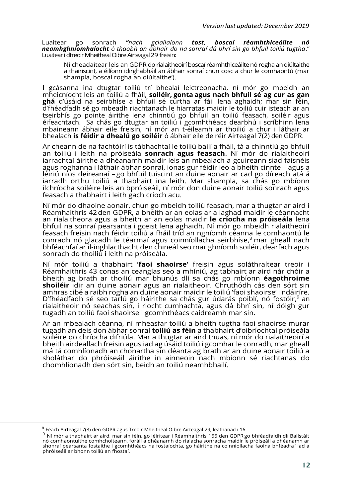#### Luaitear go sonrach *"nach gciallaíonn tost, boscaí réamhthiceáilte nó neamhghníomhaíocht ó thaobh an ábhair do na sonraí dá bhrí sin go bhfuil toiliú tugtha*." Luaitear i dtreoir Mheitheal Oibre Airteagal 29 freisin:

Ní cheadaítear leis an GDPR do rialaitheoiríboscaí réamhthiceáilte nó rogha an diúltaithe a thairiscint, a éilíonn idirghabháil an ábhair sonraí chun cosc a chur le comhaontú (mar shampla, boscaí rogha an diúltaithe').

I gcásanna ina dtugtar toiliú trí bhealaí leictreonacha, ní mór go mbeidh an mheicníocht leis an toiliú a fháil, **soiléir, gonta agus nach bhfuil sé ag cur as gan ghá** d'úsáid na seirbhíse a bhfuil sé curtha ar fáil lena aghaidh; mar sin féin, d'fhéadfadh sé go mbeadh riachtanach le hiarratas maidir le toiliú cuir isteach ar an tseirbhís go pointe áirithe lena chinntiú go bhfuil an toiliú feasach, soiléir agus éifeachtach. Sa chás go dtugtar an toiliú i gcomhthéacs dearbhú i scríbhinn lena mbaineann ábhair eile freisin, ní mór an t-éileamh ar thoiliú a chur i láthair ar bhealach **is féidir a dhealú go soiléir** ó ábhair eile de réir Airteagal 7(2) den GDPR.

Ar cheann de na fachtóirí is tábhachtaí le toiliú bailí a fháil, tá a chinntiú go bhfuil an toiliú i leith na próiseála **sonrach agus feasach**. Ní mór do rialaitheoirí iarrachtaí áirithe a dhéanamh maidir leis an mbealach a gcuireann siad faisnéis agus roghanna i láthair ábhar sonraí, ionas gur féidir leo a bheith cinnte – agus a léiriú níos deireanaí – go bhfuil tuiscint an duine aonair ar cad go díreach atá á iarradh orthu toiliú a thabhairt ina leith. Mar shampla, sa chás go mbíonn ilchríocha soiléire leis an bpróiseáil, ní mór don duine aonair toiliú sonrach agus feasach a thabhairt i leith gach críoch acu.

Ní mór do dhaoine aonair, chun go mbeidh toiliú feasach, mar a thugtar ar aird i Réamhaithris 42 den GDPR, a bheith ar an eolas ar a laghad maidir le céannacht an rialaitheora agus a bheith ar an eolas maidir **le críocha na próiseála** lena bhfuil na sonraí pearsanta i gceist lena aghaidh. Ní mór go mbeidh rialaitheoirí feasach freisin nach féidir toiliú a fháil tríd an ngníomh céanna le comhaontú le conradh nó glacadh le téarmaí agus coinníollacha seirbhíse, <sup>8</sup> mar gheall nach bhféachfaí ar il-inghlacthacht den chineál seo mar ghníomh soiléir, dearfach agus sonrach do thoiliú i leith na próiseála.

Ní mór toiliú a thabhairt **'faoi shaoirse'** freisin agus soláthraítear treoir i Réamhaithris 43 conas an ceanglas seo a mhíniú, ag tabhairt ar aird nár chóir a bheith ag brath ar thoiliú mar bhunús dlí sa chás go mbíonn **éagothroime shoiléir** idir an duine aonair agus an rialaitheoir. Chruthódh cás den sórt sin amhras cibé a raibh rogha an duine aonair maidir le toiliú 'faoi shaoirse' i ndáiríre. D'fhéadfadh sé seo tarlú go háirithe sa chás gur údarás poiblí, nó fostóir,<sup>9</sup> an rialaitheoir nó seachas sin, i riocht cumhachta, agus dá bhrí sin, ní dóigh gur tugadh an toiliú faoi shaoirse i gcomhthéacs caidreamh mar sin.

Ar an mbealach céanna, ní mheasfar toiliú a bheith tugtha faoi shaoirse murar tugadh an deis don ábhar sonraí **toiliú as féin** a thabhairt d'oibríochtaí próiseála soiléire do chríocha difriúla. Mar a thugtar ar aird thuas, ní mór do rialaitheoirí a bheith airdeallach freisin agus iad ag úsáid toiliú i gcomhar le conradh, mar gheall má tá comhlíonadh an chonartha sin déanta ag brath ar an duine aonair toiliú a sholáthar do phróiseáil áirithe in ainneoin nach mbíonn sé riachtanas do chomhlíonadh den sórt sin, beidh an toiliú neamhbhailí.

<sup>8</sup> Féach Airteagal 7(3) den GDPR agus Treoir Mheitheal Oibre Airteagal 29, leathanach 16

<sup>9</sup> Ní mór a thabhairt ar aird, mar sin féin, go léirítear i Réamhaithris 155 den GDPR go bhféadfaidh dlí Ballstáit nó comhaontuithe comhchoiteann, foráil a dhéanamh do rialacha sonracha maidir le próiseáil a dhéanamh ar shonraí pearsanta fostaithe i gcomhthéacs na fostaíochta, go háirithe na coinníollacha faoina bhféadfaí iad a phróiseáil ar bhonn toiliú an fhostaí.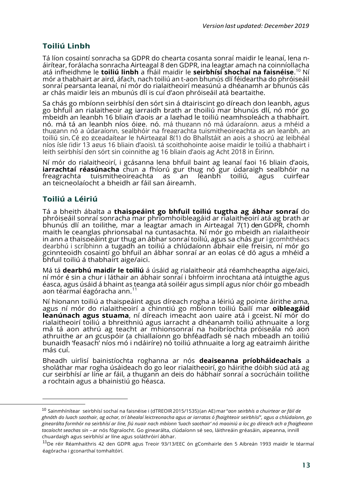# **Toiliú Linbh**

Tá líon cosaintí sonracha sa GDPR do chearta cosanta sonraí maidir le leanaí, lena náirítear, forálacha sonracha Airteagal 8 den GDPR, ina leagtar amach na coinníollacha atá infheidhme le **toiliú linbh** a fháil maidir le **seirbhísí shochaí na faisnéise**. <sup>10</sup> Ní mór a thabhairt ar aird, áfach, nach toiliú an t-aon bhunús dlí féideartha do phróiseáil sonraí pearsanta leanaí, ní mór do rialaitheoirí measúnú a dhéanamh ar bhunús cás ar chás maidir leis an mbunús dlí is cuí d'aon phróiseáil atá beartaithe.

Sa chás go mbíonn seirbhísí den sórt sin á dtairiscint go díreach don leanbh, agus go bhfuil an rialaitheoir ag iarraidh brath ar thoiliú mar bhunús dlí, nó mór go mbeidh an leanbh 16 bliain d'aois ar a laghad le toiliú neamhspleách a thabhairt, nó, má tá an leanbh níos óige, nó, má thugann nó má údaraíonn, agus a mhéid a thugann nó a údaraíonn, sealbhóir na freagrachta tuismitheoireachta as an leanbh, an toiliú sin. Cé go gceadaítear le hAirteagal 8(1) do Bhallstáit an aois a shocrú ag leibhéal níos ísle (idir 13 agus 16 bliain d'aois), tá scoithphointe aoise maidir le toiliú a thabhairt i leith seirbhísí den sórt sin coinnithe ag 16 bliain d'aois ag Acht 2018 in Éirinn.

Ní mór do rialaitheoirí, i gcásanna lena bhfuil baint ag leanaí faoi 16 bliain d'aois, **iarrachtaí réasúnacha** chun a fhíorú gur thug nó gur údaraigh sealbhóir na freagrachta tuismitheoireachta as an leanbh toiliú, agus cuirfear an teicneolaíocht a bheidh ar fáil san áireamh.

# **Toiliú a Léiriú**

Tá a bheith ábalta a **thaispeáint go bhfuil toiliú tugtha ag ábhar sonraí** do phróiseáil sonraí sonracha mar phríomhoibleagáid ar rialaitheoirí atá ag brath ar bhunús dlí an toilithe, mar a leagtar amach in Airteagal 7(1) den GDPR, chomh maith le ceanglas phrionsabal na cuntasachta. Ní mór go mbeidh an rialaitheoir in ann a thaispeáint gur thug an ábhar sonraí toiliú, agus sa chás gur i gcomhthéacs dearbhú i scríbhinn a tugadh an toiliú a chlúdaíonn ábhair eile freisin, ní mór go gcinnteoidh cosaintí go bhfuil an ábhar sonraí ar an eolas cé dó agus a mhéid a bhfuil toiliú á thabhairt aige/aici.

Má tá **dearbhú maidir le toiliú** á úsáid ag rialaitheoir atá réamhcheaptha aige/aici, ní mór é sin a chur i láthair an ábhair sonraí i bhfoirm inrochtana atá intuigthe agus éasca, agus úsáid á bhaint as teanga atá soiléir agus simplí agus níor chóir go mbeadh aon téarmaí éagóracha ann. 11

Ní hionann toiliú a thaispeáint agus díreach rogha a léiriú ag pointe áirithe ama, agus ní mór do rialaitheoirí a chinntiú go mbíonn toiliú bailí mar **oibleagáid leanúnach agus stuama**, ní díreach imeacht aon uaire atá i gceist. Ní mór do rialaitheoirí toiliú a bhreithniú agus iarracht a dhéanamh toiliú athnuaite a lorg má tá aon athrú ag teacht ar mhionsonraí na hoibríochta próiseála nó aon athruithe ar an gcuspóir (a chiallaíonn go bhféadfadh sé nach mbeadh an toiliú bunaidh 'feasach' níos mó i ndáiríre) nó toiliú athnuaite a lorg ag eatraimh áirithe más cuí.

Bheadh uirlisí bainistíochta roghanna ar nós **deaiseanna príobháideachais** a sholáthar mar rogha úsáideach do go leor rialaitheoirí, go háirithe dóibh siúd atá ag cur seirbhísí ar líne ar fáil, a thugann an deis do hábhair sonraí a socrúcháin toilithe a rochtain agus a bhainistiú go héasca.

<sup>10</sup> Sainmhínítear seirbhísí sochaí na faisnéise i (dTREOIR 2015/1535) (an AE) mar "*aon seirbhís a chuirtear ar fáil de ghnáth do luach saothair, ag achar, trí bhealaí leictreonacha agus ar iarratas ó fhaighteoir seirbhísí", agus a chlúdaíonn, go ginearálta formhór na seirbhísí ar líne, fiú nuair nach mbíonn 'luach saothair' nó maoiniú a íoc go díreach ach a fhaigheann tacaíocht seachas sin* –ar nós fógraíocht. Go ginearálta, clúdaíonn sé seo, láithreáin gréasáin, aipeanna, innill chuardaigh agus seirbhísí ar líne agus soláthróirí ábhar.

<sup>&</sup>lt;sup>11</sup>De réir Réamhaithris 42 den GDPR agus Treoir 93/13/EEC ón gComhairle den 5 Aibreán 1993 maidir le téarmaí éagóracha i gconarthaí tomhaltóirí.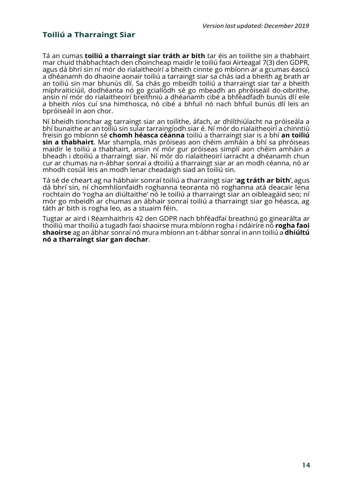# **Toiliú a Tharraingt Siar**

Tá an cumas **toiliú a tharraingt siar tráth ar bith** tar éis an toilithe sin a thabhairt mar chuid thábhachtach den choincheap maidir le toiliú faoi Airteagal 7(3) den GDPR, agus dá bhrí sin ní mór do rialaitheoirí a bheith cinnte go mbíonn ar a gcumas éascú a dhéanamh do dhaoine aonair toiliú a tarraingt siar sa chás iad a bheith ag brath ar an toiliú sin mar bhunús dlí. Sa chás go mbeidh toiliú a tharraingt siar tar a bheith míphraiticiúil, dodhéanta nó go gciallódh sé go mbeadh an phróiseáil do-oibrithe, ansin ní mór do rialaitheoirí breithniú a dhéanamh cibé a bhféadfadh bunús dlí eile a bheith níos cuí sna himthosca, nó cibé a bhfuil nó nach bhfuil bunús dlí leis an bpróiseáil in aon chor.

Ní bheidh tionchar ag tarraingt siar an toilithe, áfach, ar dhlíthiúlacht na próiseála a bhí bunaithe ar an toiliú sin sular tarraingíodh siar é. Ní mór do rialaitheoirí a chinntiú freisin go mbíonn sé **chomh héasca céanna** toiliú a tharraingt siar is a bhí **an toiliú sin a thabhairt**. Mar shampla, más próiseas aon chéim amháin a bhí sa phróiseas maidir le toiliú a thabhairt, ansin ní mór gur próiseas simplí aon chéim amháin a bheadh i dtoiliú a tharraingt siar. Ní mór do rialaitheoirí iarracht a dhéanamh chun cur ar chumas na n-ábhar sonraí a dtoiliú a tharraingt siar ar an modh céanna, nó ar mhodh cosúil leis an modh lenar cheadaigh siad an toiliú sin.

Tá sé de cheart ag na hábhair sonraí toiliú a tharraingt siar '**ag tráth ar bith**',agus dá bhrí sin, ní chomhlíonfaidh roghanna teoranta nó roghanna atá deacair lena rochtain do 'rogha an diúltaithe' nó le toiliú a tharraingt siar an oibleagáid seo; ní mór go mbeidh ar chumas an ábhair sonraí toiliú a tharraingt siar go héasca, ag táth ar bith is rogha leo, as a stuaim féin.

Tugtar ar aird i Réamhaithris 42 den GDPR nach bhféadfaí breathnú go ginearálta ar thoiliú mar thoiliú a tugadh faoi shaoirse mura mbíonn rogha i ndáiríre nó **rogha faoi shaoirse** ag an ábhar sonraí nó mura mbíonn an t-ábhar sonraí in ann toiliú a **dhiúltú nó a tharraingt siar gan dochar**.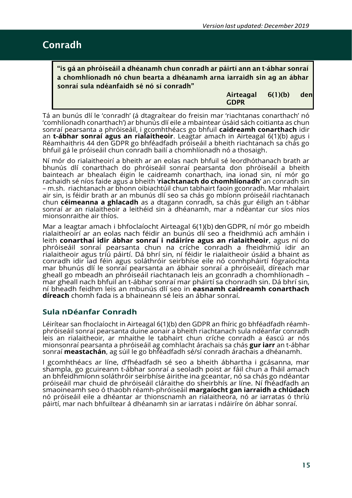# Conradh

"is gá an phróiseáil a dhéanamh chun conradh ar páirtí ann an t-ábhar sonraí a chomhlíonadh nó chun bearta a dhéanamh arna iarraidh sin ag an ábhar sonraí sula ndéanfaidh sé nó sí conradh"

> Airteagal 6(1)(b) den GDPR

Tá an bunús dlí le 'conradh' (á dtagraítear do freisin mar 'riachtanas conarthach' nó 'comhlíonadh conarthach') ar bhunús dlí eile a mbaintear úsáid sách coitianta as chun sonraí pearsanta a phróiseáil, i gcomhthéacs go bhfuil **caidreamh conarthach** idir an **t-ábhar sonraí agus an rialaitheoir**. Leagtar amach in Airteagal 6(1)(b) agus i Réamhaithris 44 den GDPR go bhféadfadh próiseáil a bheith riachtanach sa chás go bhfuil gá le próiseáil chun conradh bailí a chomhlíonadh nó a thosaigh.

Ní mór do rialaitheoirí a bheith ar an eolas nach bhfuil sé leordhóthanach brath ar bhunús dlí conarthach do phróiseáil sonraí pearsanta don phróiseáil a bheith bainteach ar bhealach éigin le caidreamh conarthach, ina ionad sin, ní mór go rachaidh sé níos faide agus a bheith '**riachtanach do chomhlíonadh**' an conradh sin – m.sh. riachtanach ar bhonn oibiachtúil chun tabhairt faoin gconradh. Mar mhalairt air sin, is féidir brath ar an mbunús dlí seo sa chás go mbíonn próiseáil riachtanach chun **céimeanna a ghlacadh** as a dtagann conradh, sa chás gur éiligh an t-ábhar sonraí ar an rialaitheoir a leithéid sin a dhéanamh, mar a ndéantar cur síos níos mionsonraithe air thíos.

Mar a leagtar amach i bhfoclaíocht Airteagal 6(1)(b) den GDPR, ní mór go mbeidh rialaitheoirí ar an eolas nach féidir an bunús dlí seo a fheidhmiú ach amháin i leith **conarthaí idir ábhar sonraí i ndáiríre agus an rialaitheoir**, agus ní do phróiseáil sonraí pearsanta chun na críche conradh a fheidhmiú idir an rialaitheoir agus tríú páirtí. Dá bhrí sin, ní féidir le rialaitheoir úsáid a bhaint as conradh idir iad féin agus soláthróir seirbhíse eile nó comhpháirtí fógraíochta mar bhunús dlí le sonraí pearsanta an ábhair sonraí a phróiseáil, díreach mar gheall go mbeadh an phróiseáil riachtanach leis an gconradh a chomhlíonadh – mar gheall nach bhfuil an t-ábhar sonraí mar pháirtí sa chonradh sin. Dá bhrí sin, ní bheadh feidhm leis an mbunús dlí seo in **easnamh caidreamh conarthach díreach** chomh fada is a bhaineann sé leis an ábhar sonraí.

# **Sula nDéanfar Conradh**

Léirítear san fhoclaíocht in Airteagal 6(1)(b) den GDPR an fhíric go bhféadfadh réamhphróiseáil sonraí pearsanta duine aonair a bheith riachtanach sula ndéanfar conradh leis an rialaitheoir, ar mhaithe le tabhairt chun críche conradh a éascú ar nós mionsonraí pearsanta a phróiseáil ag comhlacht árachais sa chás **gur iarr** an t-ábhar sonraí **meastachán**, ag súil le go bhféadfadh sé/sí conradh árachais a dhéanamh.

I gcomhthéacs ar líne, d'fhéadfadh sé seo a bheith ábhartha i gcásanna, mar shampla, go gcuireann t-ábhar sonraí a seoladh poist ar fáil chun a fháil amach an bhfeidhmíonn soláthróir seirbhíse áirithe ina gceantar, nó sa chás go ndéantar próiseáil mar chuid de phróiseáil cláraithe do sheirbhís ar líne. Ní fhéadfadh an smaoineamh seo ó thaobh réamh-phróiseáil **margaíocht gan iarraidh a chlúdach** nó próiseáil eile a dhéantar ar thionscnamh an rialaitheora, nó ar iarratas ó thríú páirtí, mar nach bhfuiltear á dhéanamh sin ar iarratas i ndáiríre ón ábhar sonraí.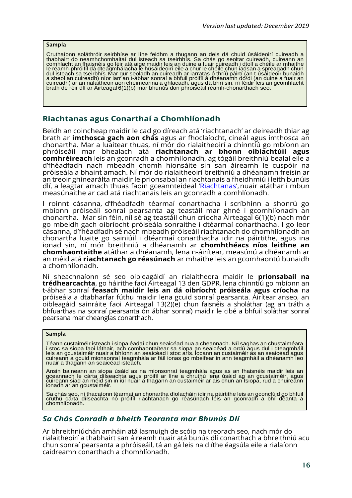#### Sampla

Cruthaíonn soláthróir seirbhíse ar líne feidhm a thugann an deis dá chuid úsáideoirí cuireadh a thabhairt do neamhchomhaltaí dul isteach sa tseirbhís. Sa chás go seoltar cuireadh, cuireann an comhlacht an fhaisnéis go léir atá aige maidir leis an duine a fuair cuireadh i dtoll a chéile ar mhaithe le réamh-phróifíl dá dteagmhálacha le húsáideoirí eile a chur le chéile chun iadsan a spreagadh chun dul isteach sa tseirbhís.Mar gur seoladh an cuireadh ar iarratas ó thríú páirtí (an t-úsáideoir bunaidh a sheol an cuireadh) níor iarr an t-ábhar sonraí a bhfuil próifíl á dhéanamh dó/di (an duine a fuair an cuireadh) ar an rialaitheoir aon chéimeanna a ghlacadh, agus dá bhrí sin, ní féidir leis an gcomhlacht brath de réir dlí ar Airteagal 6(1)(b) mar bhunús don phróiseáil réamh-chonarthach seo.

# **Riachtanas agus Conarthaí a Chomhlíonadh**

Beidh an coincheap maidir le cad go díreach atá 'riachtanach' ar deireadh thiar ag brath ar **imthosca gach aon chás** agus ar fhoclaíocht, cineál agus imthosca an chonartha. Mar a luaitear thuas, ní mór do rialaitheoirí a chinntiú go mbíonn an phróiseáil mar bhealach atá **riachtanach ar bhonn oibiachtúil agus comhréireach** leis an gconradh a chomhlíonadh, ag tógáil breithniú bealaí eile a d'fhéadfadh nach mbeadh chomh hionsáite sin san áireamh le cuspóir na próiseála a bhaint amach. Ní mór do rialaitheoirí breithniú a dhéanamh freisin ar an treoir ghinearálta maidir le prionsabal an riachtanais a fheidhmiú i leith bunúis dlí, a leagtar amach thuas faoin gceannteideal 'Riachtanas', nuair atáthar i mbun measúnaithe ar cad atá riachtanais leis an gconradh a comhlíonadh.

I roinnt cásanna, d'fhéadfadh téarmaí conarthacha i scríbhinn a shonrú go mbíonn próiseáil sonraí pearsanta ag teastáil mar ghné i gcomhlíonadh an chonartha. Mar sin féin,níl sé ag teastáil chun críocha Airteagal 6(1)(b) nach mór go mbeidh gach oibríocht próiseála sonraithe i dtéarmaí conarthacha. I go leor cásanna, d'fhéadfadh sé nach mbeadh próiseáil riachtanach do chomhlíonadh an chonartha luaite go sainiúil i dtéarmaí conarthacha idir na páirtithe, agus ina ionad sin, ní mór breithniú a dhéanamh ar **chomhthéacs níos leithne an chomhaontaithe** atáthar a dhéanamh, lena n-áirítear, measúnú a dhéanamh ar an méid atá **riachtanach go réasúnach** ar mhaithe leis an gcomhaontú bunaidh a chomhlíonadh.

Ní sheachnaíonn sé seo oibleagáidí an rialaitheora maidir le **prionsabail na trédhearcachta**, go háirithe faoi Airteagal 13 den GDPR, lena chinntiú go mbíonn an t-ábhar sonraí **feasach maidir leis an dá oibríocht próiseála agus críocha** na próiseála a dtabharfar fúthu maidir lena gcuid sonraí pearsanta. Áirítear anseo, an oibleagáid sainráite faoi Airteagal 13(2)(e) chun faisnéis a sholáthar (ag an tráth a bhfuarthas na sonraí pearsanta ón ábhar sonraí) maidir le cibé a bhfuil soláthar sonraí pearsana mar cheanglas conarthach.

#### Sampla

Téann custaiméir isteach i siopa éadaí chun seaicéad nua a cheannach. Níl saghas an chustaiméara i stoc sa siopa faoi láthair, ach comhaontaítear sa siopa an seaicéad a ordú agus dul i dteagmháil leis an gcustaiméir nuair a bhíonn an seaicéad i stoc arís. Íocann an custaiméir as an seaicéad agus cuireann a gcuid mionsonraí teagmhála ar fáil ionas go mbeifear in ann teagmháil a dhéanamh leo nuair a thagann an seaicéad isteach.

Ansin baineann an siopa úsáid as na mionsonraí teagmhála agus as an fhaisnéis maidir leis an gceannach le cárta dílseachta agus próifíl ar líne a chruthú lena úsáid ag an gcustaiméir, agus cuireann siad an méid sin in iúl nuair a thagann an custaiméir ar ais chun an tsiopa, rud a chuireann ionadh ar an gcustaiméir.

Sa chás seo, ní thacaíonn téarmaí an chonartha díolacháin idir na páirtithe leis an gconclúid go bhfuil cruthú cárta dílseachta nó próifíl riachtanach go réasúnach leis an gconradh a bhí déanta a chomhlíonadh.

## *Sa Chás Conradh a bheith Teoranta mar Bhunús Dlí*

Ar bhreithniúchán amháin atá lasmuigh de scóip na treorach seo, nach mór do rialaitheoirí a thabhairt san áireamh nuair atá bunús dlí conarthach a bhreithniú acu chun sonraí pearsanta a phróiseáil, tá an gá leis na dlíthe éagsúla eile a rialaíonn caidreamh conarthach a chomhlíonadh.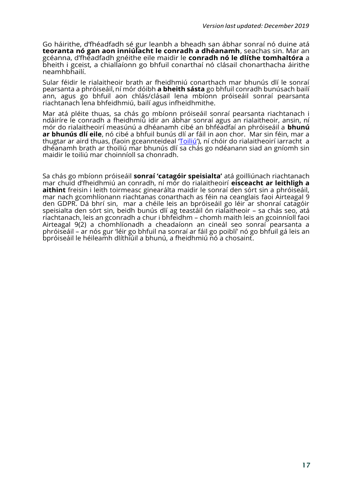Go háirithe, d'fhéadfadh sé gur leanbh a bheadh san ábhar sonraí nó duine atá **teoranta nó gan aon inniúlacht le conradh a dhéanamh**, seachas sin. Mar an gcéanna, d'fhéadfadh gnéithe eile maidir le **conradh nó le dlíthe tomhaltóra** a bheith i gceist, a chiallaíonn go bhfuil conarthaí nó clásail chonarthacha áirithe neamhbhailí.

Sular féidir le rialaitheoir brath ar fheidhmiú conarthach mar bhunús dlí le sonraí pearsanta a phróiseáil,ní mór dóibh **a bheith sásta** go bhfuil conradh bunúsach bailí ann, agus go bhfuil aon chlás/clásail lena mbíonn próiseáil sonraí pearsanta riachtanach lena bhfeidhmiú, bailí agus infheidhmithe.

Mar atá pléite thuas, sa chás go mbíonn próiseáil sonraí pearsanta riachtanach i ndáiríre le conradh a fheidhmiú idir an ábhar sonraí agus an rialaitheoir, ansin, ní mór do rialaitheoirí measúnú a dhéanamh cibé an bhféadfaí an phróiseáil a **bhunú ar bhunús dlí eile**, nó cibé a bhfuil bunús dlí ar fáil in aon chor. Mar sin féin, mar a thugtar ar aird thuas, (faoin gceannteideal <u>'Toiliú</u>'), ní chóir do rialaitheoirí iarracht a dhéanamh brath ar thoiliú mar bhunús dlí sa chás go ndéanann siad an gníomh sin maidir le toiliú mar choinníoll sa chonradh.

Sa chás go mbíonn próiseáil **sonraí 'catagóir speisialta'** atá goilliúnach riachtanach mar chuid d'fheidhmiú an conradh, ní mór do rialaitheoirí **eisceacht ar leithligh a aithint** freisin i leith toirmeasc ginearálta maidir le sonraí den sórt sin a phróiseáil, mar nach gcomhlíonann riachtanas conarthach as féin na ceanglais faoi Airteagal 9 den GDPR. Dá bhrí sin, mar a chéile leis an bpróiseáil go léir ar shonraí catagóir speisialta den sórt sin, beidh bunús dlí ag teastáil ón rialaitheoir – sa chás seo, atá riachtanach, leis an gconradh a chur i bhfeidhm – chomh maith leis an gcoinníoll faoi Airteagal 9(2) a chomhlíonadh a cheadaíonn an cineál seo sonraí pearsanta a phróiseáil – ar nós gur 'léir go bhfuil na sonraí ar fáil go poiblí' nó go bhfuil gá leis an bpróiseáil le héileamh dlíthiúil a bhunú, a fheidhmiú nó a chosaint.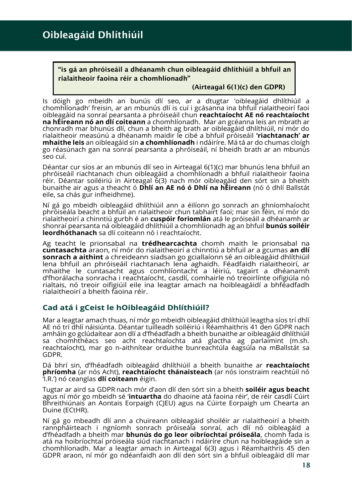## "is gá an phróiseáil a dhéanamh chun oibleagáid dhlíthiúil a bhfuil an rialaitheoir faoina réir a chomhlíonadh"

#### (Airteagal 6(1)(c) den GDPR)

Is dóigh go mbeidh an bunús dlí seo, ar a dtugtar 'oibleagáid dhlíthiúil a chomhlíonadh' freisin, ar an mbunús dlí is cuí i gcásanna ina bhfuil rialaitheoirí faoi oibleagáid na sonraí pearsanta a phróiseáil chun **reachtaíocht AE nó reachtaíocht na hÉireann nó an dlí coiteann** a chomhlíonadh. Mar an gcéanna leis an mbrath ar chonradh mar bhunús dlí, chun a bheith ag brath ar oibleagáid dhlíthiúil, ní mór do rialaitheoir measúnú a dhéanamh maidir le cibé a bhfuil próiseáil **'riachtanach' ar mhaithe leis** an oibleagáid sin **a chomhlíonadh** i ndáiríre. Má tá ar do chumas cloígh go réasúnach gan na sonraí pearsanta a phróiseáil, ní bheidh brath ar an mbunús seo cuí.

Déantar cur síos ar an mbunús dlí seo in Airteagal 6(1)(c) mar bhunús lena bhfuil an phróiseáil riachtanach chun oibleagáid a chomhlíonadh a bhfuil rialaitheoir faoina réir. Déantar soiléiriú in Airteagal 6(3) nach mór oibleagáid den sórt sin a bheith bunaithe air agus a theacht ó **Dhlí an AE nó ó Dhlí na hÉireann** (nó ó dhlí Ballstát eile, sa chás gur infheidhme).

Ní gá go mbeidh oibleagáid dhlíthiúil ann a éilíonn go sonrach an ghníomhaíocht phróiseála beacht a bhfuil an rialaitheoir chun tabhairt faoi; mar sin féin, ní mór do rialaitheoirí a chinntiú gurbh é an **cuspóir foriomlán** atá le próiseáil a dhéanamh ar shonraí pearsanta ná oibleagáid dhlíthiúil a chomhlíonadh ag an bhfuil **bunús soiléir leordhóthanach** sa dlí coiteann nó i reachtaíocht.

Ag teacht le prionsabal na **trédhearcachta** chomh maith le prionsabal na **cuntasachta** araon, ní mór do rialaitheoirí a chinntiú a bhfuil ar a gcumas **an dlí sonrach a aithint** a chreideann siadsan go gciallaíonn sé an oibleagáid dhlíthiúil lena bhfuil an phróiseáil riachtanach lena aghaidh. Féadfaidh rialaitheoirí, ar mhaithe le cuntasacht agus comhlíontacht a léiriú, tagairt a dhéanamh d'fhorálacha sonracha i reachtaíocht, casdlí, comhairle nó treoirlínte oifigiúla nó rialtais, nó treoir oifigiúil eile ina leagtar amach na hoibleagáidí a bhféadfadh rialaitheoirí a bheith faoina réir.

# **Cad atá i gCeist le hOibleagáid Dhlíthiúil?**

Mar a leagtar amach thuas, ní mór go mbeidh oibleagáid dhlíthiúil leagtha síos trí dhlí AE nó trí dhlí náisiúnta. Déantar tuilleadh soiléiriú i Réamhaithris 41 den GDPR nach amháin go gclúdaítear aon dlí a d'fhéadfadh a bheith bunaithe ar oibleagáid dhlíthiúil sa chomhthéacs seo acht reachtaíochta atá glactha ag parlaimint (m.sh. reachtaíocht), mar go n-aithnítear orduithe bunreachtúla éagsúla na mBallstát sa GDPR.

Dá bhrí sin, d'fhéadfadh oibleagáid dhlíthiúil a bheith bunaithe ar **reachtaíocht phríomha** (ar nós Acht), **reachtaíocht thánaisteach** (ar nós ionstraim reachtúil nó 'I.R.') nó ceanglas **dlí coiteann** éigin.

Tugtar ar aird sa GDPR nach mór d'aon dlí den sórt sin a bheith **soiléir agus beacht** agus ní mór go mbeidh sé '**intuartha** do dhaoine atá faoina réir', de réir casdlí Cúirt Bhreithiúnais an Aontais Eorpaigh (CJEU) agus na Cúirte Eorpaigh um Chearta an Duine (ECtHR).

Ní gá go mbeadh dlí ann a chuireann oibleagáid shoiléir ar rialaitheoirí a bheith rannpháirteach i ngníomh sonrach próiseála sonraí, ach dlí nó oibleagáid a d'fhéadfadh a bheith mar **bhunús do go leor oibríochtaí próiseála**, chomh fada is atá na hoibríochtaí próiseála siúd riachtanach i ndáiríre chun na hoibleagáide sin a chomhlíonadh. Mar a leagtar amach in Airteagal 6(3) agus i Réamhaithris 45 den GDPR araon, ní mór go ndéanfaidh aon dlí den sórt sin a bhfuil oibleagáid dlí mar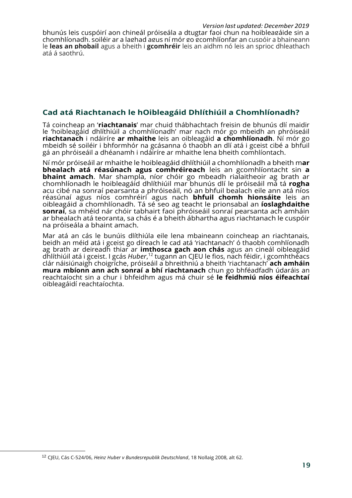bhunús leis cuspóirí aon chineál próiseála a dtugtar faoi chun na hoibleagáide sin a chomhlíonadh, soiléir ar a laghad agus ní mór go gcomhlíonfar an cuspóir a bhaineann le **leas an phobail** agus a bheith i **gcomhréir** leis an aidhm nó leis an sprioc dhleathach atá á saothrú.

# **Cad atá Riachtanach le hOibleagáid Dhlíthiúil a Chomhlíonadh?**

Tá coincheap an '**riachtanais**' mar chuid thábhachtach freisin de bhunús dlí maidir le 'hoibleagáid dhlíthiúil a chomhlíonadh' mar nach mór go mbeidh an phróiseáil **riachtanach** i ndáiríre **ar mhaithe** leis an oibleagáid **a chomhlíonadh**. Ní mór go mbeidh sé soiléir i bhformhór na gcásanna ó thaobh an dlí atá i gceist cibé a bhfuil gá an phróiseáil a dhéanamh i ndáiríre ar mhaithe lena bheith comhlíontach.

Ní mór próiseáil ar mhaithe le hoibleagáid dhlíthiúil a chomhlíonadh a bheith m**ar bhealach atá réasúnach agus comhréireach** leis an gcomhlíontacht sin **a bhaint amach**. Mar shampla, níor chóir go mbeadh rialaitheoir ag brath ar chomhlíonadh le hoibleagáid dhlíthiúil mar bhunús dlí le próiseáil má tá **rogha** acu cibé na sonraí pearsanta a phróiseáil, nó an bhfuil bealach eile ann atá níos réasúnaí agus níos comhréirí agus nach **bhfuil chomh hionsáite** leis an oibleagáid a chomhlíonadh. Tá sé seo ag teacht le prionsabal an **íoslaghdaithe sonraí**, sa mhéid nár chóir tabhairt faoi phróiseáil sonraí pearsanta ach amháin ar bhealach atá teoranta, sa chás é a bheith ábhartha agus riachtanach le cuspóir na próiseála a bhaint amach.

Mar atá an cás le bunúis dlíthiúla eile lena mbaineann coincheap an riachtanais, beidh an méid atá i gceist go díreach le cad atá 'riachtanach' ó thaobh comhlíonadh ag brath ar deireadh thiar ar **imthosca gach aon chás** agus an cineál oibleagáid dhlíthiúil atá i gceist. I gcás *Huber*, <sup>12</sup> tugann an CJEU le fios, nach féidir, i gcomhthéacs clár náisiúnaigh choigríche, próiseáil a bhreithniú a bheith 'riachtanach' **ach amháin mura mbíonn ann ach sonraí a bhí riachtanach** chun go bhféadfadh údaráis an reachtaíocht sin a chur i bhfeidhm agus má chuir sé **le feidhmiú níos éifeachtaí** oibleagáidí reachtaíochta.

 $\overline{a}$ 

<sup>12</sup> CJEU, Cás C‑524/06, *Heinz Huber v Bundesrepublik Deutschland*, 18 Nollaig 2008, alt 62.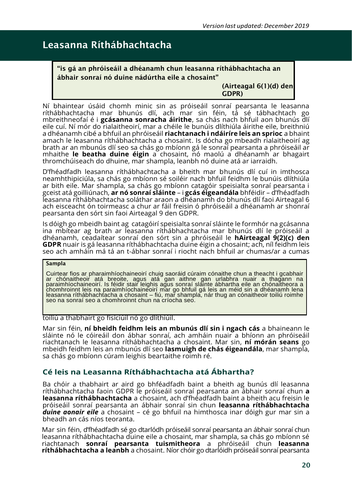# Leasanna Ríthábhachtacha

"is gá an phróiseáil a dhéanamh chun leasanna ríthábhachtacha an ábhair sonraí nó duine nádúrtha eile a chosaint"

> (Airteagal 6(1)(d) den GDPR)

Ní bhaintear úsáid chomh minic sin as próiseáil sonraí pearsanta le leasanna ríthábhachtacha mar bhunús dlí, ach mar sin féin, tá sé tábhachtach go mbreithneofaí é i **gcásanna sonracha áirithe**, sa chás nach bhfuil aon bhunús dlí eile cuí. Ní mór do rialaitheoirí, mar a chéile le bunúis dlíthiúla áirithe eile, breithniú a dhéanamh cibé a bhfuil an phróiseáil **riachtanach i ndáiríre leis an sprioc** a bhaint amach le leasanna ríthábhachtacha a chosaint. Is dócha go mbeadh rialaitheoirí ag brath ar an mbunús dlí seo sa chás go mbíonn gá le sonraí pearsanta a phróiseáil ar mhaithe **le beatha duine éigin** a chosaint, nó maolú a dhéanamh ar bhagairt thromchúiseach do dhuine, mar shampla, leanbh nó duine atá ar iarraidh.

D'fhéadfadh leasanna ríthábhachtacha a bheith mar bhunús dlí cuí in imthosca neamhthipiciúla, sa chás go mbíonn sé soiléir nach bhfuil feidhm le bunúis dlíthiúla ar bith eile. Mar shampla, sa chás go mbíonn catagóir speisialta sonraí pearsanta i gceist atá goilliúnach, **ar nó sonraí sláinte** – i **gcás éigeandála** bhféidir – d'fhéadfadh leasanna ríthábhachtacha soláthar araon a dhéanamh do bhunús dlí faoi Airteagal 6 ach eisceacht ón toirmeasc a chur ar fáil freisin ó phróiseáil a dhéanamh ar shonraí pearsanta den sórt sin faoi Airteagal 9 den GDPR.

Is dóigh go mbeidh baint ag catagóirí speisialta sonraí sláinte le formhór na gcásanna ina mbítear ag brath ar leasanna ríthábhachtacha mar bhunús dlí le próiseáil a dhéanamh, ceadaítear sonraí den sórt sin a phróiseáil le **hAirteagal 9(2)(c) den GDPR** nuair is gá leasanna ríthábhachtacha duine éigin a chosaint; ach, níl feidhm leis seo ach amháin má tá an t-ábhar sonraí i riocht nach bhfuil ar chumas/ar a cumas

#### Sampla

Cuirtear fios ar pharaimhíochaineoirí chuig saoráid cúraim cónaithe chun a theacht i gcabhair ar chónaitheoir atá breoite, agus atá gan aithne gan urlabhra nuair a thagann na paraimhíochaineoirí. Is féidir stair leighis agus sonraí sláinte ábhartha eile an chónaitheora a chomhroinnt leis na paraimhíochaineoirí mar go bhfuil gá leis an méid sin a dhéanamh lena leasanna ríthábhachtacha a chosaint – fiú, mar shampla, nár thug an cónaitheoir toiliú roimhe seo na sonraí seo a chomhroinnt chun na críocha seo.

toiliú a thabhairt go fisiciúil nó go dlíthiúil.

Mar sin féin, **ní bheidh feidhm leis an mbunús dlí sin i ngach cás** a bhaineann le sláinte nó le cóireáil don ábhar sonraí, ach amháin nuair a bhíonn an phróiseáil riachtanach le leasanna ríthábhachtacha a chosaint. Mar sin, **ní mórán seans** go mbeidh feidhm leis an mbunús dlí seo **lasmuigh de chás éigeandála**, mar shampla, sa chás go mbíonn cúram leighis beartaithe roimh ré.

# **Cé leis na Leasanna Ríthábhachtacha atá Ábhartha?**

Ba chóir a thabhairt ar aird go bhféadfadh baint a bheith ag bunús dlí leasanna ríthábhachtacha faoin GDPR le próiseáil sonraí pearsanta an ábhair sonraí chun **a leasanna ríthábhachtacha** a chosaint, ach d'fhéadfadh baint a bheith acu freisin le próiseáil sonraí pearsanta an ábhair sonraí sin chun **leasanna ríthábhachtacha**  *duine aonair eile* a chosaint – cé go bhfuil na himthosca inar dóigh gur mar sin a bheadh an cás níos teoranta.

Mar sin féin, d'fhéadfadh sé go dtarlódh próiseáil sonraí pearsanta an ábhair sonraí chun leasanna ríthábhachtacha duine eile a chosaint, mar shampla, sa chás go mbíonn sé riachtanach **sonraí pearsanta tuismitheora** a phróiseáil chun **leasanna ríthábhachtacha a leanbh** a chosaint. Níor chóir go dtarlóidh próiseáil sonraí pearsanta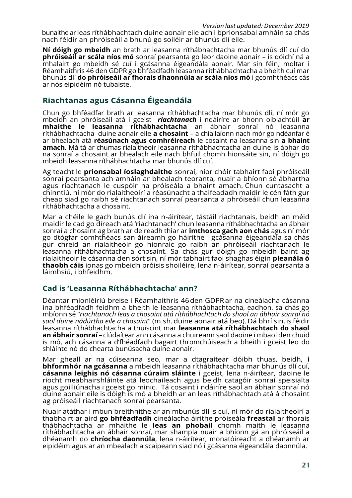bunaithe ar leas ríthábhachtach duine aonair eile ach i bprionsabal amháin sa chás nach féidir an phróiseáil a bhunú go soiléir ar bhunús dlí eile.

**Ní dóigh go mbeidh** an brath ar leasanna ríthábhachtacha mar bhunús dlí cuí do **phróiseáil ar scála níos mó** sonraí pearsanta go leor daoine aonair – is dóichí ná a mhalairt go mbeidh sé cuí i gcásanna éigeandála aonair. Mar sin féin, moltar i Réamhaithris 46 den GDPR go bhféadfadh leasanna ríthábhachtacha a bheith cuí mar bhunús dlí **do phróiseáil ar fhorais dhaonnúla ar scála níos mó** i gcomhthéacs cás ar nós eipidéim nó tubaiste.

# **Riachtanas agus Cásanna Éigeandála**

Chun go bhféadfar brath ar leasanna ríthábhachtacha mar bhunús dlí, ní mór go mbeidh an phróiseáil atá i gceist *riachtanach* i ndáiríre ar bhonn oibiachtúil **ar mhaithe le leasanna ríthábhachtacha** an ábhair sonraí nó leasanna ríthábhachtacha duine aonair eile **a chosaint** – a chiallaíonn nach mór go ndéanfar é ar bhealach atá **réasúnach agus comhréireach** le cosaint na leasanna sin **a bhaint amach**. Má tá ar chumas rialaitheoir leasanna ríthábhachtacha an duine is ábhar do na sonraí a chosaint ar bhealach eile nach bhfuil chomh hionsáite sin, ní dóigh go mbeidh leasanna ríthábhachtacha mar bhunús dlí cuí.

Ag teacht le **prionsabal íoslaghdaithe** sonraí, níor chóir tabhairt faoi phróiseáil sonraí pearsanta ach amháin ar bhealach teoranta, nuair a bhíonn sé ábhartha agus riachtanach le cuspóir na próiseála a bhaint amach. Chun cuntasacht a chinntiú, ní mór do rialaitheoirí a réasúnacht a thaifeadadh maidir le cén fáth gur cheap siad go raibh sé riachtanach sonraí pearsanta a phróiseáil chun leasanna ríthábhachtacha a chosaint.

Mar a chéile le gach bunús dlí ina n-áirítear, tástáil riachtanais, beidh an méid maidir le cad go díreach atá 'riachtanach' chun leasanna ríthábhachtacha an ábhair sonraí a chosaint ag brath ar deireadh thiar ar **imthosca gach aon chás** agus ní mór go dtógfar comhthéacs san áireamh go háirithe i gcásanna éigeandála sa chás gur chreid an rialaitheoir go hionraic go raibh an phróiseáil riachtanach le leasanna ríthábhachtacha a chosaint. Sa chás gur dóigh go mbeidh baint ag rialaitheoir le cásanna den sórt sin, ní mór tabhairt faoi shaghas éigin **pleanála ó thaobh cáis** ionas go mbeidh próisis shoiléire, lena n-áirítear, sonraí pearsanta a láimhsiú, i bhfeidhm.

# **Cad is 'Leasanna Ríthábhachtacha' ann?**

Déantar mionléiriú breise i Réamhaithris 46den GDPRar na cineálacha cásanna ina bhféadfadh feidhm a bheith le leasanna ríthábhachtacha, eadhon, sa chás go mbíonn sé "*riachtanach leas a chosaint atá ríthábhachtach do shaol an ábhair sonraí nó saol duine nádúrtha eile a chosaint*" (m.sh.duine aonair atá beo). Dá bhrí sin, is féidir leasanna ríthábhachtacha a thuiscint mar **leasanna atá ríthábhachtach do shaol an ábhair sonraí** –clúdaítear ann cásanna a chuireann saol daoine i mbaol den chuid is mó, ach cásanna a d'fhéadfadh bagairt thromchúiseach a bheith i gceist leo do shláinte nó do chearta bunúsacha duine aonair.

Mar gheall ar na cúiseanna seo, mar a dtagraítear dóibh thuas, beidh, **i bhformhór na gcásanna** a mbeidh leasanna ríthábhachtacha mar bhunús dlí cuí, **cásanna leighis nó cásanna cúraim sláinte** i gceist, lena n-áirítear, daoine le riocht meabhairshláinte atá leochaileach agus beidh catagóir sonraí speisialta agus goilliúnacha i gceist go minic. Tá cosaint i ndáiríre saol an ábhair sonraí nó duine aonair eile is dóigh is mó a bheidh ar an leas ríthábhachtach atá á chosaint ag próiseáil riachtanach sonraí pearsanta.

Nuair atáthar i mbun breithnithe ar an mbunús dlí is cuí, ní mór do rialaitheoirí a thabhairt ar aird **go bhféadfadh** cineálacha áirithe próiseála **freastal** ar fhorais thábhachtacha ar mhaithe le **leas an phobail** chomh maith le leasanna ríthábhachtacha an ábhair sonraí, mar shampla nuair a bhíonn gá an phróiseáil a dhéanamh do **chríocha daonnúla**, lena n-áirítear, monatóireacht a dhéanamh ar eipidéim agus ar an mbealach a scaipeann siad nó i gcásanna éigeandála daonnúla.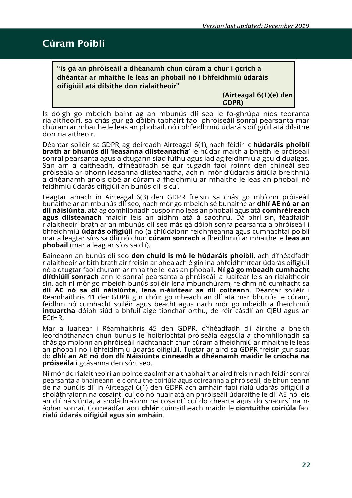# Cúram Poiblí

"is gá an phróiseáil a dhéanamh chun cúram a chur i gcrích a dhéantar ar mhaithe le leas an phobail nó i bhfeidhmiú údaráis oifigiúil atá dílsithe don rialaitheoir"

> (Airteagal 6(1)(e) den GDPR)

Is dóigh go mbeidh baint ag an mbunús dlí seo le fo-ghrúpa níos teoranta rialaitheoirí, sa chás gur gá dóibh tabhairt faoi phróiseáil sonraí pearsanta mar chúram ar mhaithe le leas an phobail, nó i bhfeidhmiú údaráis oifigiúil atá dílsithe don rialaitheoir.

Déantar soiléir sa GDPR, ag deireadh Airteagal 6(1), nach féidir le **húdaráis phoiblí brath ar bhunús dlí 'leasanna dlisteanacha'** le húdar maith a bheith le próiseáil sonraí pearsanta agus a dtugann siad fúthu agus iad ag feidhmiú a gcuid dualgas. San am a caitheadh, d'fhéadfadh sé gur tugadh faoi roinnt den chineál seo próiseála ar bhonn leasanna dlisteanacha, ach ní mór d'údaráis áitiúla breithniú a dhéanamh anois cibé ar cúram a fheidhmiú ar mhaithe le leas an phobail nó feidhmiú údarás oifigiúil an bunús dlí is cuí.

Leagtar amach in Airteagal 6(3) den GDPR freisin sa chás go mbíonn próiseáil bunaithe ar an mbunús dlí seo, nach mór go mbeidh sé bunaithe ar **dhlí AE nó ar an dlí náisiúnta**, atá ag comhlíonadh cuspóir nó leas an phobail agus atá **comhréireach agus dlisteanach** maidir leis an aidhm atá á saothrú. Dá bhrí sin, féadfaidh rialaitheoirí brath ar an mbunús dlí seo más gá dóibh sonra pearsanta a phróiseáil i bhfeidhmiú **údarás oifigiúil** nó (a chlúdaíonn feidhmeanna agus cumhachtaí poiblí mar a leagtar síos sa dlí) nó chun **cúram sonrach** a fheidhmiú ar mhaithe le **leas an phobail** (mar a leagtar síos sa dlí).

Baineann an bunús dlí seo **den chuid is mó le húdaráis phoiblí**, ach d'fhéadfadh rialaitheoir ar bith brath air freisin ar bhealach éigin ina bhfeidhmítear údarás oifigiúil nó a dtugtar faoi chúram ar mhaithe le leas an phobail. **Ní gá go mbeadh cumhacht dlíthiúil sonrach** ann le sonraí pearsanta a phróiseáil a luaitear leis an rialaitheoir sin, ach ní mór go mbeidh bunús soiléir lena mbunchúram, feidhm nó cumhacht sa **dlí AE nó sa dlí náisiúnta, lena n-áirítear sa dlí coiteann**. Déantar soiléir i Réamhaithris 41 den GDPR gur chóir go mbeadh an dlí atá mar bhunús le cúram, feidhm nó cumhacht soiléir agus beacht agus nach mór go mbeidh a fheidhmiú **intuartha** dóibh siúd a bhfuil aige tionchar orthu, de réir cásdlí an CJEU agus an ECtHR.

Mar a luaitear i Réamhaithris 45 den GDPR, d'fhéadfadh dlí áirithe a bheith leordhóthanach chun bunúis le hoibríochtaí próiseála éagsúla a chomhlíonadh sa chás go mbíonn an phróiseáil riachtanach chun cúram a fheidhmiú ar mhaithe le leas an phobail nó i bhfeidhmiú údarás oifigiúil. Tugtar ar aird sa GDPR freisin gur suas do **dhlí an AE nó don dlí Náisiúnta cinneadh a dhéanamh maidir le críocha na próiseála** i gcásanna den sórt seo.

Ní mór do rialaitheoirí an pointe gaolmhar a thabhairt ar aird freisin nach féidir sonraí pearsanta a bhaineann le ciontuithe coiriúla agus coireanna a phróiseáil, de bhun ceann de na bunúis dlí in Airteagal 6(1) den GDPR ach amháin faoi rialú údarás oifigiúil a sholáthraíonn na cosaintí cuí do nó nuair atá an phróiseáil údaraithe le dlí AE nó leis an dlí náisiúnta, a sholáthraíonn na cosaintí cuí do chearta agus do shaoirsí na nábhar sonraí. Coimeádfar aon **chlár** cuimsitheach maidir le **ciontuithe coiriúla** faoi **rialú údarás oifigiúil agus sin amháin**.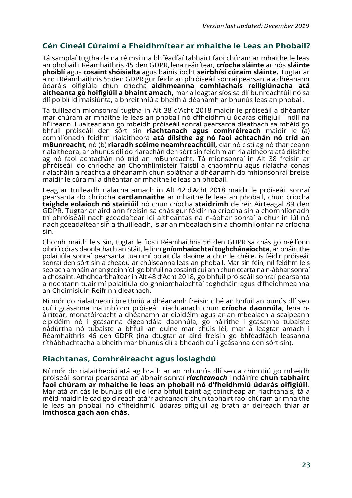## **Cén Cineál Cúraimí a Fheidhmítear ar mhaithe le Leas an Phobail?**

Tá samplaí tugtha de na réimsí ina bhféadfaí tabhairt faoi chúram ar mhaithe le leas an phobail i Réamhaithris 45 den GDPR, lena n-áirítear, **críocha sláinte** ar nós **sláinte phoiblí** agus **cosaint shóisialta** agus bainistíocht **seirbhísí cúraim sláinte.** Tugtar ar aird i Réamhaithris 55den GDPR gur féidir an phróiseáil sonraí pearsanta a dhéanann údaráis oifigiúla chun críocha **aidhmeanna comhlachais reiligiúnacha atá aitheanta go hoifigiúil a bhaint amach,** mar a leagtar síos sa dlí bunreachtúil nó sa dlí poiblí idirnáisiúnta, a bhreithniú a bheith á déanamh ar bhunús leas an phobail.

Tá tuilleadh mionsonraí tugtha in Alt 38 d'Acht 2018 maidir le próiseáil a dhéantar mar chúram ar mhaithe le leas an phobail nó d'fheidhmiú údarás oifigiúil i ndlí na hÉireann. Luaitear ann go mbeidh próiseáil sonraí pearsanta dleathach sa mhéid go bhfuil próiseáil den sórt sin **riachtanach agus comhréireach** maidir le (a) comhlíonadh feidhm rialaitheora **atá dílsithe ag nó faoi achtachán nó tríd an mBunreacht**, nó (b) **riaradh scéime neamhreachtúil,** clár nó cistí ag nó thar ceann rialaitheora, ar bhunús dlí do riarachán den sórt sin feidhm an rialaitheora atá dílsithe ag nó faoi achtachán nó tríd an mBunreacht. Tá mionsonraí in Alt 38 freisin ar phróiseáil do chríocha an Chomhlimistéir Taistil a chaomhnú agus rialacha conas rialacháin aireachta a dhéanamh chun soláthar a dhéanamh do mhionsonraí breise maidir le cúraimí a dhéantar ar mhaithe le leas an phobail.

Leagtar tuilleadh rialacha amach in Alt 42 d'Acht 2018 maidir le próiseáil sonraí pearsanta do chríocha **cartlannaithe** ar mhaithe le leas an phobail, chun críocha **taighde eolaíoch nó stairiúil** nó chun críocha **staidrimh** de réir Airteagal 89 den GDPR. Tugtar ar aird ann freisin sa chás gur féidir na críocha sin a chomhlíonadh trí phróiseáil nach gceadaítear léi aitheantas na n-ábhar sonraí a chur in iúl nó nach gceadaítear sin a thuilleadh, is ar an mbealach sin a chomhlíonfar na críocha sin.

Chomh maith leis sin, tugtar le fios i Réamhaithris 56 den GDPR sa chás go n-éilíonn oibriú córas daonlathach an Stáit, le linn **gníomhaíochtaí toghchánaíochta**, ar pháirtithe polaitiúla sonraí pearsanta tuairimí polaitiúla daoine a chur le chéile, is féidir próiseáil sonraí den sórt sin a cheadú ar chúiseanna leas an phobail. Mar sin féin, níl feidhm leis seo ach amháin ar an gcoinníoll go bhfuil na cosaintí cuí ann chun cearta na n-ábhar sonraí a chosaint. Athdhearbhaítear in Alt 48 d'Acht 2018, go bhfuil próiseáil sonraí pearsanta a nochtann tuairimí polaitiúla do ghníomhaíochtaí toghcháin agus d'fheidhmeanna an Choimisiúin Reifrinn dleathach.

Ní mór do rialaitheoirí breithniú a dhéanamh freisin cibé an bhfuil an bunús dlí seo cuí i gcásanna ina mbíonn próiseáil riachtanach chun **críocha daonnúla**, lena náirítear, monatóireacht a dhéanamh ar eipidéim agus ar an mbealach a scaipeann eipidéim nó i gcásanna éigeandála daonnúla, go háirithe i gcásanna tubaiste nádúrtha nó tubaiste a bhfuil an duine mar chúis léi, mar a leagtar amach i Réamhaithris 46 den GDPR (ina dtugtar ar aird freisin go bhféadfadh leasanna ríthábhachtacha a bheith mar bhunús dlí a bheadh cuí i gcásanna den sórt sin).

# **Riachtanas, Comhréireacht agus Íoslaghdú**

Ní mór do rialaitheoirí atá ag brath ar an mbunús dlí seo a chinntiú go mbeidh próiseáil sonraí pearsanta an ábhair sonraí *riachtanach* i ndáiríre **chun tabhairt faoi chúram ar mhaithe le leas an phobail nó d'fheidhmiú údarás oifigiúil**. Mar atá an cás le bunúis dlí eile lena bhfuil baint ag coincheap an riachtanais, tá a méid maidir le cad go díreach atá 'riachtanach' chun tabhairt faoi chúram ar mhaithe le leas an phobail nó d'fheidhmiú údarás oifigiúil ag brath ar deireadh thiar ar **imthosca gach aon chás.**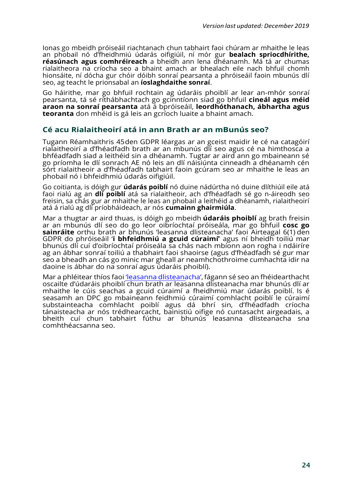Ionas go mbeidh próiseáil riachtanach chun tabhairt faoi chúram ar mhaithe le leas an phobail nó d'fheidhmiú údarás oifigiúil, ní mór gur **bealach spriocdhírithe, réasúnach agus comhréireach** a bheidh ann lena dhéanamh. Má tá ar chumas rialaitheora na críocha seo a bhaint amach ar bhealach eile nach bhfuil chomh hionsáite, ní dócha gur chóir dóibh sonraí pearsanta a phróiseáil faoin mbunús dlí seo, ag teacht le prionsabal an **íoslaghdaithe sonraí**.

Go háirithe, mar go bhfuil rochtain ag údaráis phoiblí ar lear an-mhór sonraí pearsanta, tá sé ríthábhachtach go gcinntíonn siad go bhfuil **cineál agus méid araon na sonraí pearsanta** atá á bpróiseáil, **leordhóthanach, ábhartha agus teoranta** don mhéid is gá leis an gcríoch luaite a bhaint amach.

# **Cé acu Rialaitheoirí atá in ann Brath ar an mBunús seo?**

Tugann Réamhaithris 45den GDPR léargas ar an gceist maidir le cé na catagóirí rialaitheoirí a d'fhéadfadh brath ar an mbunús dlí seo agus cé na himthosca a bhféadfadh siad a leithéid sin a dhéanamh. Tugtar ar aird ann go mbaineann sé go príomha le dlí sonrach AE nó leis an dlí náisiúnta cinneadh a dhéanamh cén sórt rialaitheoir a d'fhéadfadh tabhairt faoin gcúram seo ar mhaithe le leas an phobail nó i bhfeidhmiú údarás oifigiúil.

Go coitianta, is dóigh gur **údarás poiblí** nó duine nádúrtha nó duine dlíthiúil eile atá faoi rialú ag an **dlí poiblí** atá sa rialaitheoir, ach d'fhéadfadh sé go n-áireodh seo freisin, sa chás gur ar mhaithe le leas an phobail a leithéid a dhéanamh, rialaitheoirí atá á rialú ag dlí príobháideach, ar nós **cumainn ghairmiúla**.

Mar a thugtar ar aird thuas, is dóigh go mbeidh **údaráis phoiblí** ag brath freisin ar an mbunús dlí seo do go leor oibríochtaí próiseála, mar go bhfuil **cosc go sainráite** orthu brath ar bhunús 'leasanna dlisteanacha' faoi Airteagal 6(1) den GDPR do phróiseáil '**i bhfeidhmiú a gcuid cúraimí'** agus ní bheidh toiliú mar bhunús dlí cuí d'oibríochtaí próiseála sa chás nach mbíonn aon rogha i ndáiríre ag an ábhar sonraí toiliú a thabhairt faoi shaoirse (agus d'fhéadfadh sé gur mar seo a bheadh an cás go minic mar gheall ar neamhchothroime cumhachta idir na daoine is ábhar do na sonraí agus údaráis phoiblí).

Mar a phléitear thíos faoi 'leasanna dlisteanacha', fágann sé seo an fhéidearthacht oscailte d'údaráis phoiblí chun brath ar leasanna dlisteanacha mar bhunús dlí ar mhaithe le cúis seachas a gcuid cúraimí a fheidhmiú mar údarás poiblí. Is é seasamh an DPC go mbaineann feidhmiú cúraimí comhlacht poiblí le cúraimí substainteacha comhlacht poiblí agus dá bhrí sin, d'fhéadfadh críocha tánaisteacha ar nós trédhearcacht, bainistiú oifige nó cuntasacht airgeadais, a bheith cuí chun tabhairt fúthu ar bhunús leasanna dlisteanacha sna comhthéacsanna seo.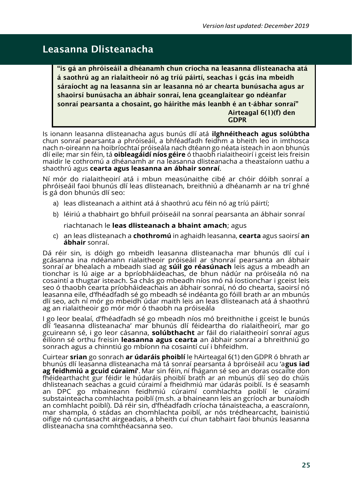# Leasanna Dlisteanacha

"is gá an phróiseáil a dhéanamh chun críocha na leasanna dlisteanacha atá á saothrú ag an rialaitheoir nó ag tríú páirtí, seachas i gcás ina mbeidh sáraíocht ag na leasanna sin ar leasanna nó ar chearta bunúsacha agus ar shaoirsí bunúsacha an ábhair sonraí, lena gceanglaítear go ndéanfar sonraí pearsanta a chosaint, go háirithe más leanbh é an t-ábhar sonraí" Airteagal 6(1)(f) den **GDPR** 

Is ionann leasanna dlisteanacha agus bunús dlí atá **ilghnéitheach agus solúbtha** chun sonraí pearsanta a phróiseáil, a bhféadfadh feidhm a bheith leo in imthosca nach n-oireann na hoibríochtaí próiseála nach dtéann go néata isteach in aon bhunús dlí eile; mar sin féin, tá **oibleagáidí níos géire** ó thaobh rialaitheoirí i gceist leis freisin maidir le cothromú a dhéanamh ar na leasanna dlisteanacha a theastaíonn uathu a shaothrú agus **cearta agus leasanna an ábhair sonraí**.

Ní mór do rialaitheoirí atá i mbun measúnaithe cibé ar chóir dóibh sonraí a phróiseáil faoi bhunús dlí leas dlisteanach, breithniú a dhéanamh ar na trí ghné is gá don bhunús dlí seo:

- a) leas dlisteanach a aithint atá á shaothrú acu féin nó ag tríú páirtí;
- b) léiriú a thabhairt go bhfuil próiseáil na sonraí pearsanta an ábhair sonraí

riachtanach le **leas dlisteanach a bhaint amach**; agus

c) an leas dlisteanach a **chothromú** in aghaidh leasanna, **cearta** agus saoirsí **an ábhair** sonraí.

Dá réir sin, is dóigh go mbeidh leasanna dlisteanacha mar bhunús dlí cuí i gcásanna ina ndéanann rialaitheoir próiseáil ar shonraí pearsanta an ábhair sonraí ar bhealach a mbeadh siad ag **súil go réasúnach** leis agus a mbeadh an tionchar is lú aige ar a bpríobháideachas, de bhun nádúr na próiseála nó na cosaintí a thugtar isteach. Sa chás go mbeadh níos mó ná íostionchar i gceist leis seo ó thaobh cearta príobháideachais an ábhair sonraí, nó do chearta, saoirsí nó leasanna eile, d'fhéadfadh sé go mbeadh sé indéanta go fóill brath ar an mbunús dlí seo, ach ní mór go mbeidh údar maith leis an leas dlisteanach atá á shaothrú ag an rialaitheoir go mór mór ó thaobh na próiseála

I go leor bealaí, d'fhéadfadh sé go mbeadh níos mó breithnithe i gceist le bunús dlí 'leasanna dlisteanacha' mar bhunús dlí féideartha do rialaitheoirí, mar go gcuireann sé, i go leor cásanna, **solúbthacht** ar fáil do rialaitheoirí sonraí agus éilíonn sé orthu freisin **leasanna agus cearta** an ábhair sonraí a bhreithniú go sonrach agus a chinntiú go mbíonn na cosaintí cuí i bhfeidhm.

Cuirtear **srian** go sonrach **ar údaráis phoiblí** le hAirteagal 6(1) den GDPR ó bhrath ar bhunús dlí leasanna dlisteanacha má tá sonraí pearsanta á bpróiseáil acu 'a**gus iad ag feidhmiú a gcuid cúraimí'**. Mar sin féin, ní fhágann sé seo an doras oscailte don fhéidearthacht gur féidir le húdaráis phoiblí brath ar an mbunús dlí seo do chúis dhlisteanach seachas a gcuid cúraimí a fheidhmiú mar údarás poiblí. Is é seasamh an DPC go mbaineann feidhmiú cúraimí comhlachta poiblí le cúraimí substainteacha comhlachta poiblí (m.sh. a bhaineann leis an gcríoch ar bunaíodh an comhlacht poiblí). Dá réir sin, d'fhéadfadh críocha tánaisteacha, a eascraíonn, mar shampla, ó stádas an chomhlachta poiblí, ar nós trédhearcacht, bainistiú oifige nó cuntasacht airgeadais, a bheith cuí chun tabhairt faoi bhunús leasanna dlisteanacha sna comhthéacsanna seo.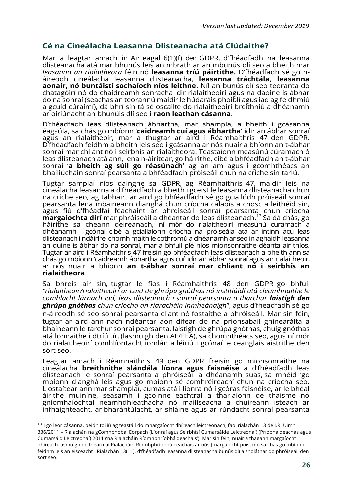# **Cé na Cineálacha Leasanna Dlisteanacha atá Clúdaithe?**

Mar a leagtar amach in Airteagal 6(1)(f) den GDPR, d'fhéadfadh na leasanna dlisteanacha atá mar bhunús leis an mbrath ar an mbunús dlí seo a bheith mar *leasanna an rialaitheora* féin nó **leasanna tríú páirtithe.** D'fhéadfadh sé go náireodh cineálacha leasanna dlisteanacha, **leasanna tráchtála, leasanna aonair, nó buntáistí sochaíoch níos leithne**. Níl an bunús dlí seo teoranta do chatagóirí nó do chaidreamh sonracha idir rialaitheoirí agus na daoine is ábhar do na sonraí (seachas an teorannú maidir le húdaráis phoiblí agus iad ag feidhmiú a gcuid cúraimí), dá bhrí sin tá sé oscailte do rialaitheoirí breithniú a dhéanamh ar oiriúnacht an bhunúis dlí seo i **raon leathan cásanna**.

D'fhéadfadh leas dlisteanach ábhartha, mar shampla, a bheith i gcásanna éagsúla, sa chás go mbíonn '**caidreamh cuí agus ábhartha'** idir an ábhar sonraí agus an rialaitheoir, mar a thugtar ar aird i Réamhaithris 47 den GDPR. D'fhéadfadh feidhm a bheith leis seo i gcásanna ar nós nuair a bhíonn an t-ábhar sonraí mar chliant nó i seirbhís an rialaitheora. Teastaíonn measúnú cúramach ó leas dlisteanach atá ann, lena n-áirítear, go háirithe, cibé a bhféadfadh an t-ábhar sonraí '**a bheith ag súil go réasúnach'** ag an am agus i gcomhthéacs an bhailiúcháin sonraí pearsanta a bhféadfadh próiseáil chun na críche sin tarlú.

Tugtar samplaí níos daingne sa GDPR, ag Réamhaithris 47, maidir leis na cineálacha leasanna a d'fhéadfadh a bheith i gceist le leasanna dlisteanacha chun na críche seo, ag tabhairt ar aird go bhféadfadh sé go gciallódh próiseáil sonraí pearsanta lena mbaineann dianghá chun críocha calaois a chosc a leithéid sin, agus fiú d'fhéadfaí féachaint ar phróiseáil sonraí pearsanta chun críocha **margaíochta dírí** mar phróiseáil a dhéantar do leas dlisteanach. <sup>13</sup> Sa dá chás, go háirithe sa cheann deireanach, ní mór do rialaitheoirí measúnú cúramach a dhéanamh i gcónaí cibé a gciallaíonn críocha na próiseála atá ar intinn acu leas dlisteanach i ndáiríre, chomh maith le cothromú a dhéanamh ar seo in aghaidh leasanna an duine is ábhar do na sonraí, mar a bhfuil plé níos mionsonraithe déanta air thíos. Tugtar ar aird i Réamhaithris 47 freisin go bhféadfadh leas dlisteanach a bheith ann sa chás go mbíonn 'caidreamh ábhartha agus cuí' idir an ábhar sonraí agus an rialaitheoir, ar nós nuair a bhíonn **an t-ábhar sonraí mar chliant nó i seirbhís an rialaitheora**.

Sa bhreis air sin, tugtar le fios i Réamhaithris 48 den GDPR go bhfuil *"rialaitheoir/rialaitheoirí ar cuid de ghrúpa gnóthas nó institiúidí atá cleamhnaithe le comhlacht lárnach iad, leas dlisteanach i sonraí pearsanta a tharchur laistigh den ghrúpa gnóthas chun críocha an riaracháin inmheánaigh*", agus d'fheadfadh sé go n-áireodh sé seo sonraí pearsanta cliant nó fostaithe a phróiseáil. Mar sin féin, tugtar ar aird ann nach ndéantar aon difear do na prionsabail ghinearálta a bhaineann le tarchur sonraí pearsanta, laistigh de ghrúpa gnóthas, chuig gnóthas atá lonnaithe i dtríú tír, (lasmuigh den AE/EEA), sa chomhthéacs seo, agus ní mór do rialaitheoirí comhlíontacht iomlán a léiriú i gcónaí le ceanglais aistrithe den sórt seo.

Leagtar amach i Réamhaithris 49 den GDPR freisin go mionsonraithe na cineálacha **breithnithe slándála líonra agus faisnéise** a d'fhéadfadh leas dlisteanach le sonraí pearsanta a phróiseáil a dhéanamh suas, sa mhéid 'go mbíonn dianghá leis agus go mbíonn sé comhréireach' chun na críocha seo. Liostaítear ann mar shamplaí, cumas atá i líonra nó i gcóras faisnéise, ar leibhéal áirithe muiníne, seasamh i gcoinne eachtraí a tharlaíonn de thaisme nó gníomhaíochtaí neamhdhleathacha nó mailíseacha a chuireann isteach ar infhaighteacht, ar bharántúlacht, ar shláine agus ar rúndacht sonraí pearsanta

 $\overline{a}$ 

<sup>&</sup>lt;sup>13</sup> I go leor cásanna, beidh toiliú ag teastáil do mhargaíocht dhíreach leictreonach, faoi rialachán 13 de I.R. Uimh 336/2011 – Rialachán na gComhphobal Eorpach (Líonraí agus Seirbhísí Cumarsáide Leictreonaí) (Príobháideachas agus Cumarsáid Leictreonaí) 2011 ('na Rialacháin Ríomhphríobháideachais'). Mar sin féin, nuair a thagann margaíocht dhíreach lasmuigh de théarmaí Rialacháin Ríomhphríobháideachais ar nós (margaíocht poist) nó sa chás go mbíonn feidhm leis an eisceacht i Rialachán 13(11), d'fhéadfadh leasanna dlisteanacha bunús dlí a sholáthar do phróiseáil den sórt seo.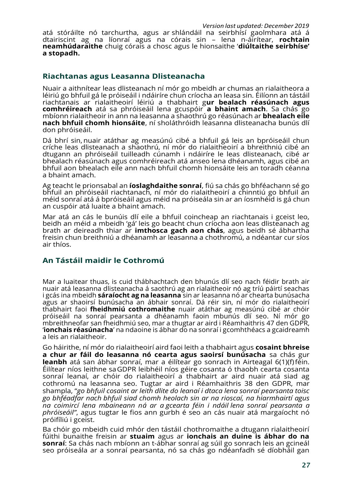atá stóráilte nó tarchurtha, agus ar shlándáil na seirbhísí gaolmhara atá á dtairiscint ag na líonraí agus na córais sin – lena n-áirítear, **rochtain neamhúdaraithe** chuig córais a chosc agus le hionsaithe '**diúltaithe seirbhíse' a stopadh.**

# **Riachtanas agus Leasanna Dlisteanacha**

Nuair a aithnítear leas dlisteanach ní mór go mbeidh ar chumas an rialaitheora a léiriú go bhfuil gá le próiseáil i ndáiríre chun críocha an leasa sin. Éilíonn an tástáil riachtanais ar rialaitheoirí léiriú a thabhairt g**ur bealach réasúnach agus comhréireach** atá sa phróiseáil lena gcuspóir **a bhaint amach**. Sa chás go mbíonn rialaitheoir in ann na leasanna a shaothrú go réasúnach ar **bhealach eile nach bhfuil chomh hionsáite**, ní sholáthróidh leasanna dlisteanacha bunús dlí don phróiseáil.

Dá bhrí sin, nuair atáthar ag measúnú cibé a bhfuil gá leis an bpróiseáil chun críche leas dlisteanach a shaothrú, ní mór do rialaitheoirí a bhreithniú cibé an dtugann an phróiseáil tuilleadh cúnamh i ndáiríre le leas dlisteanach, cibé ar bhealach réasúnach agus comhréireach atá anseo lena dhéanamh, agus cibé an bhfuil aon bhealach eile ann nach bhfuil chomh hionsáite leis an toradh céanna a bhaint amach.

Ag teacht le prionsabal an **íoslaghdaithe sonraí**, fiú sa chás go bhféachann sé go bhfuil an phróiseáil riachtanach, ní mór do rialaitheoirí a chinntiú go bhfuil an méid sonraí atá á bpróiseáil agus méid na próiseála sin ar an íosmhéid is gá chun an cuspóir atá luaite a bhaint amach.

Mar atá an cás le bunúis dlí eile a bhfuil coincheap an riachtanais i gceist leo, beidh an méid a mbeidh 'gá' leis go beacht chun críocha aon leas dlisteanach ag brath ar deireadh thiar ar **imthosca gach aon chás**, agus beidh sé ábhartha freisin chun breithniú a dhéanamh ar leasanna a chothromú, a ndéantar cur síos air thíos.

# **An Tástáil maidir le Cothromú**

Mar a luaitear thuas, is cuid thábhachtach den bhunús dlí seo nach féidir brath air nuair atá leasanna dlisteanacha á saothrú ag an rialaitheoir nó ag tríú páirtí seachas i gcás ina mbeidh **sáraíocht ag na leasanna** sin ar leasanna nó ar chearta bunúsacha agus ar shaoirsí bunúsacha an ábhair sonraí. Dá réir sin, ní mór do rialaitheoirí thabhairt faoi **fheidhmiú cothromaithe** nuair atáthar ag measúnú cibé ar chóir próiseáil na sonraí pearsanta a dhéanamh faoin mbunús dlí seo. Ní mór go mbreithneofar san fheidhmiú seo, mar a thugtar ar aird i Réamhaithris 47 den GDPR, '**ionchais réasúnacha**' na ndaoine is ábhar do na sonraí i gcomhthéacs a gcaidreamh a leis an rialaitheoir.

Go háirithe, ní mór do rialaitheoirí aird faoi leith a thabhairt agus **cosaint bhreise a chur ar fáil do leasanna nó cearta agus saoirsí bunúsacha** sa chás gur **leanbh** atá san ábhar sonraí, mar a éilítear go sonrach in Airteagal 6(1)(f)féin. Éilítear níos leithne saGDPR leibhéil níos géire cosanta ó thaobh cearta cosanta sonraí leanaí, ar chóir do rialaitheoirí a thabhairt ar aird nuair atá siad ag cothromú na leasanna seo. Tugtar ar aird i Réamhaithris 38 den GDPR, mar shampla, "*go bhfuil cosaint ar leith dlite do leanaí i dtaca lena sonraí pearsanta toisc go bhféadfar nach bhfuil siad chomh heolach sin ar na rioscaí, na hiarmhairtí agus na coimircí lena mbaineann ná ar a gcearta féin i ndáil lena sonraí pearsanta a phróiseáil"*, agus tugtar le fios ann gurbh é seo an cás nuair atá margaíocht nó próifíliú i gceist.

Ba chóir go mbeidh cuid mhór den tástáil chothromaithe a dtugann rialaitheoirí fúithi bunaithe freisin ar **stuaim** agus ar **ionchais an duine is ábhar do na sonraí**: Sa chás nach mbíonn an t-ábhar sonraí ag súil go sonrach leis an gcineál seo próiseála ar a sonraí pearsanta, nó sa chás go ndéanfadh sé díobháil gan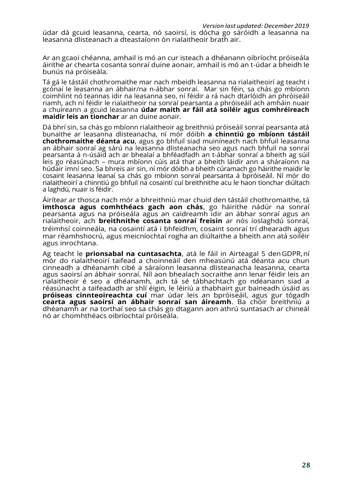#### *Version last updated: December 2019*

údar dá gcuid leasanna, cearta, nó saoirsí, is dócha go sáróidh a leasanna na leasanna dlisteanach a dteastaíonn ón rialaitheoir brath air.

Ar an gcaoi chéanna, amhail is mó an cur isteach a dhéanann oibríocht próiseála áirithe ar chearta cosanta sonraí duine aonair, amhail is mó an t-údar a bheidh le bunús na próiseála.

Tá gá le tástáil chothromaithe mar nach mbeidh leasanna na rialaitheoirí ag teacht i gcónaí le leasanna an ábhair/na n-ábhar sonraí. Mar sin féin, sa chás go mbíonn coimhlint nó teannas idir na leasanna seo, ní féidir a rá nach dtarlóidh an phróiseáil riamh, ach ní féidir le rialaitheoir na sonraí pearsanta a phróiseáil ach amháin nuair a chuireann a gcuid leasanna **údar maith ar fáil atá soiléir agus comhréireach maidir leis an tionchar** ar an duine aonair.

Dá bhrí sin, sa chás go mbíonn rialaitheoir ag breithniú próiseáil sonraí pearsanta atá bunaithe ar leasanna dlisteanacha, ní mór dóibh **a chinntiú go mbíonn tástáil chothromaithe déanta acu**, agus go bhfuil siad muiníneach nach bhfuil leasanna an ábhair sonraí ag sárú na leasanna dlisteanacha seo agus nach bhfuil na sonraí pearsanta á n-úsáid ach ar bhealaí a bhféadfadh an t-ábhar sonraí a bheith ag súil leis go réasúnach – mura mbíonn cúis atá thar a bheith láidir ann a sháraíonn na húdair imní seo. Sa bhreis air sin, ní mór dóibh a bheith cúramach go háirithe maidir le cosaint leasanna leanaí sa chás go mbíonn sonraí pearsanta á bpróiseáil. Ní mór do rialaitheoirí a chinntiú go bhfuil na cosaintí cuí breithnithe acu le haon tionchar diúltach a laghdú, nuair is féidir.

Áirítear ar thosca nach mór a bhreithniú mar chuid den tástáil chothromaithe, tá **imthosca agus comhthéacs gach aon chás**, go háirithe nádúr na sonraí pearsanta agus na próiseála agus an caidreamh idir an ábhar sonraí agus an rialaitheoir, ach **breithnithe cosanta sonraí freisin** ar nós íoslaghdú sonraí, tréimhsí coinneála, na cosaintí atá i bhfeidhm, cosaint sonraí trí dhearadh agus mar réamhshocrú, agus meicníochtaí rogha an diúltaithe a bheith ann atá soiléir agus inrochtana.

Ag teacht le **prionsabal na cuntasachta**, atá le fáil in Airteagal 5 denGDPR,ní mór do rialaitheoirí taifead a choinneáil den mheasúnú atá déanta acu chun cinneadh a dhéanamh cibé a sáraíonn leasanna dlisteanacha leasanna, cearta agus saoirsí an ábhair sonraí. Níl aon bhealach socraithe ann lenar féidir leis an rialaitheoir é seo a dhéanamh, ach tá sé tábhachtach go ndéanann siad a réasúnacht a taifeadadh ar shlí éigin, le léiriú a thabhairt gur baineadh úsáid as **próiseas cinnteoireachta cuí** mar údar leis an bpróiseáil, agus gur tógadh **cearta agus saoirsí an ábhair sonraí san áireamh**. Ba chóir breithniú a dhéanamh ar na torthaí seo sa chás go dtagann aon athrú suntasach ar chineál nó ar chomhthéacs oibríochtaí próiseála.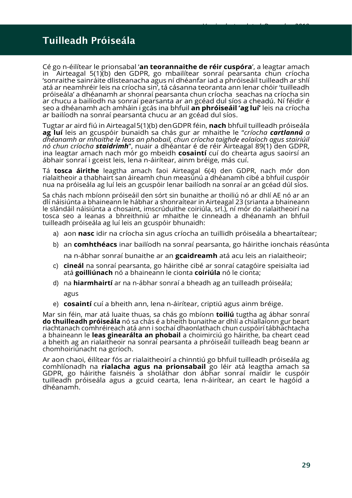Cé go n-éilítear le prionsabal '**an teorannaithe de réir cuspóra**', a leagtar amach in Airteagal 5(1)(b) den GDPR, go mbailítear sonraí pearsanta chun críocha 'sonraithe sainráite dlisteanacha agus ní dhéanfar iad a phróiseáil tuilleadh ar shlí atá ar neamhréir leis na críocha sin',tá cásanna teoranta ann lenar chóir 'tuilleadh próiseála' a dhéanamh ar shonraí pearsanta chun críocha seachas na críocha sin ar chucu a bailíodh na sonraí pearsanta ar an gcéad dul síos a cheadú. Ní féidir é seo a dhéanamh ach amháin i gcás ina bhfuil **an phróiseáil 'ag luí'** leis na críocha ar bailíodh na sonraí pearsanta chucu ar an gcéad dul síos.

*Version last updated: December 2019*

Tugtar ar aird fiú in Airteagal5(1)(b) denGDPR féin, **nach** bhfuil tuilleadh próiseála **ag luí** leis an gcuspóir bunaidh sa chás gur ar mhaithe le "*críocha cartlannú a dhéanamh ar mhaithe le leas an phobail, chun críocha taighde eolaíoch agus stairiúil nó chun críocha staidrimh*", nuair a dhéantar é de réir Airteagal 89(1) den GDPR, ina leagtar amach nach mór go mbeidh **cosaintí** cuí do chearta agus saoirsí an ábhair sonraí i gceist leis, lena n-áirítear, ainm bréige, más cuí.

Tá **tosca áirithe** leagtha amach faoi Airteagal 6(4) den GDPR, nach mór don rialaitheoir a thabhairt san áireamh chun measúnú a dhéanamh cibé a bhfuil cuspóir nua na próiseála ag luí leis an gcuspóir lenar bailíodh na sonraí ar an gcéad dúl síos.

Sa chás nach mbíonn próiseáil den sórt sin bunaithe ar thoiliú nó ar dhlí AE nó ar an dlí náisiúnta a bhaineann le hábhar a shonraítear in Airteagal 23 (srianta a bhaineann le slándáil náisiúnta a chosaint, imscrúduithe coiriúla, srl.), ní mór do rialaitheoirí na tosca seo a leanas a bhreithniú ar mhaithe le cinneadh a dhéanamh an bhfuil tuilleadh próiseála ag luí leis an gcuspóir bhunaidh:

- a) aon **nasc** idir na críocha sin agus críocha an tuillidh próiseála a bheartaítear;
- b) an **comhthéacs** inar bailíodh na sonraí pearsanta, go háirithe ionchais réasúnta

na n-ábhar sonraí bunaithe ar an **gcaidreamh** atá acu leis an rialaitheoir;

- c) **cineál** na sonraí pearsanta, go háirithe cibé ar sonraí catagóire speisialta iad atá **goilliúnach** nó a bhaineann le cionta **coiriúla** nó le cionta;
- d) na **hiarmhairtí** ar na n-ábhar sonraí a bheadh ag an tuilleadh próiseála; agus
- e) **cosaintí** cuí a bheith ann, lena n-áirítear, criptiú agus ainm bréige.

Mar sin féin, mar atá luaite thuas, sa chás go mbíonn **toiliú** tugtha ag ábhar sonraí **do thuilleadh próiseála** nó sa chás é a bheith bunaithe ar dhlí a chiallaíonn gur beart riachtanach comhréireach atá ann i sochaí dhaonlathach chun cuspóirí tábhachtacha a bhaineann le **leas ginearálta an phobail** a choimirciú go háirithe, ba cheart cead a bheith ag an rialaitheoir na sonraí pearsanta a phróiseáil tuilleadh beag beann ar chomhoiriúnacht na gcríoch.

Ar aon chaoi, éilítear fós ar rialaitheoirí a chinntiú go bhfuil tuilleadh próiseála ag comhlíonadh na **rialacha agus na prionsabail** go léir atá leagtha amach sa GDPR, go háirithe faisnéis a sholáthar don ábhar sonraí maidir le cuspóir tuilleadh próiseála agus a gcuid cearta, lena n-áirítear, an ceart le hagóid a dhéanamh.